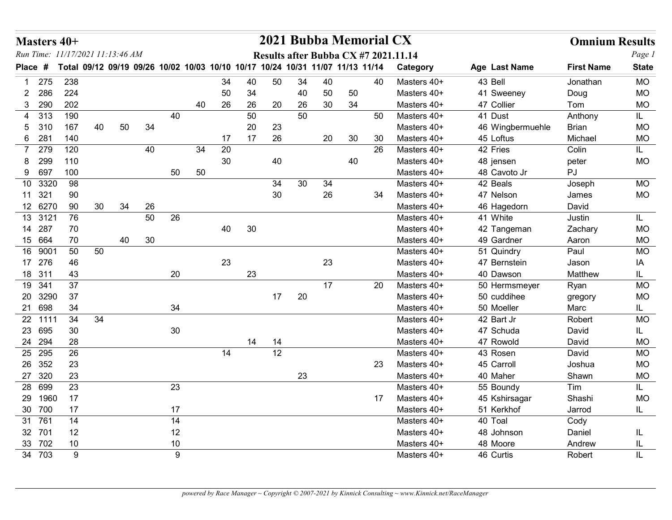| Masters 40+                                 |                                                                               |    |    |        |                  |    |          |          |    |          |          |    | 2021 Bubba Memorial CX |                                      |                             | <b>Omnium Results</b> |                        |
|---------------------------------------------|-------------------------------------------------------------------------------|----|----|--------|------------------|----|----------|----------|----|----------|----------|----|------------------------|--------------------------------------|-----------------------------|-----------------------|------------------------|
| Run Time: 11/17/2021 11:13:46 AM<br>Place # | Total 09/12 09/19 09/26 10/02 10/03 10/10 10/17 10/24 10/31 11/07 11/13 11/14 |    |    |        |                  |    |          |          |    |          |          |    |                        | Results after Bubba CX #7 2021.11.14 |                             | <b>First Name</b>     | Page 1<br><b>State</b> |
|                                             |                                                                               |    |    |        |                  |    |          |          |    |          |          |    |                        | Category                             | Age Last Name               |                       |                        |
| 275<br>286<br>$\mathbf{2}$                  | 238<br>224                                                                    |    |    |        |                  |    | 34<br>50 | 40<br>34 | 50 | 34<br>40 | 40<br>50 | 50 | 40                     | Masters 40+<br>Masters 40+           | 43 Bell<br>41 Sweeney       | Jonathan<br>Doug      | <b>MO</b><br><b>MO</b> |
| 290<br>3                                    | 202                                                                           |    |    |        |                  | 40 | 26       | 26       | 20 | 26       | 30       | 34 |                        | Masters 40+                          | 47 Collier                  | Tom                   | <b>MO</b>              |
| 313<br>4                                    | 190                                                                           |    |    |        | 40               |    |          | 50       |    | 50       |          |    | 50                     | Masters 40+                          | 41 Dust                     | Anthony               | IL.                    |
| 310<br>5                                    | 167                                                                           | 40 | 50 | 34     |                  |    |          | 20       | 23 |          |          |    |                        | Masters 40+                          | 46 Wingbermuehle            | Brian                 | <b>MO</b>              |
| 6 281                                       | 140                                                                           |    |    |        |                  |    | 17       | 17       | 26 |          | 20       | 30 | 30                     | Masters 40+                          | 45 Loftus                   | Michael               | <b>MO</b>              |
| 279<br>299                                  | 120<br>110                                                                    |    |    | 40     |                  | 34 | 20<br>30 |          |    |          |          |    | 26                     | Masters 40+                          | 42 Fries                    | Colin                 | IL                     |
| 8<br>9 697                                  | 100                                                                           |    |    |        | 50               | 50 |          |          | 40 |          |          | 40 |                        | Masters 40+<br>Masters 40+           | 48 jensen<br>48 Cavoto Jr   | peter<br>PJ           | <b>MO</b>              |
| 10 3320                                     | 98                                                                            |    |    |        |                  |    |          |          | 34 | 30       | 34       |    |                        | Masters 40+                          | 42 Beals                    | Joseph                | <b>MO</b>              |
| 11 321                                      | 90                                                                            |    |    |        |                  |    |          |          | 30 |          | 26       |    | 34                     | Masters 40+                          | 47 Nelson                   | James                 | <b>MO</b>              |
| 12 6270                                     | 90                                                                            | 30 | 34 | 26     |                  |    |          |          |    |          |          |    |                        | Masters 40+                          | 46 Hagedorn                 | David                 |                        |
| 13<br>3121                                  | 76                                                                            |    |    | 50     | 26               |    |          |          |    |          |          |    |                        | Masters 40+                          | 41 White                    | Justin                | IL                     |
| 14 287<br>15 664                            | 70<br>70                                                                      |    | 40 | $30\,$ |                  |    | 40       | 30       |    |          |          |    |                        | Masters 40+<br>Masters 40+           | 42 Tangeman<br>49 Gardner   | Zachary<br>Aaron      | <b>MO</b><br><b>MO</b> |
| 16 9001                                     | 50                                                                            | 50 |    |        |                  |    |          |          |    |          |          |    |                        | Masters 40+                          | 51 Quindry                  | Paul                  | <b>MO</b>              |
| 17 276                                      | 46                                                                            |    |    |        |                  |    | 23       |          |    |          | 23       |    |                        | Masters 40+                          | 47 Bernstein                | Jason                 | ΙA                     |
| 18 311                                      | 43                                                                            |    |    |        | 20               |    |          | 23       |    |          |          |    |                        | Masters 40+                          | 40 Dawson                   | Matthew               | IL.                    |
| 19 341                                      | 37                                                                            |    |    |        |                  |    |          |          |    |          | 17       |    | 20                     | Masters 40+                          | 50 Hermsmeyer               | Ryan                  | <b>MO</b>              |
| 20 3290                                     | 37                                                                            |    |    |        |                  |    |          |          | 17 | 20       |          |    |                        | Masters 40+                          | 50 cuddihee                 | gregory               | <b>MO</b>              |
| 21 698<br>22 1111                           | 34                                                                            |    |    |        | 34               |    |          |          |    |          |          |    |                        | Masters 40+<br>Masters 40+           | 50 Moeller                  | Marc                  | IL.                    |
| 23 695                                      | 34<br>$30\,$                                                                  | 34 |    |        | $30\,$           |    |          |          |    |          |          |    |                        | Masters 40+                          | 42 Bart Jr<br>47 Schuda     | Robert<br>David       | <b>MO</b><br>IL.       |
| 24 294                                      | 28                                                                            |    |    |        |                  |    |          | 14       | 14 |          |          |    |                        | Masters 40+                          | 47 Rowold                   | David                 | <b>MO</b>              |
| 25 295                                      | 26                                                                            |    |    |        |                  |    | 14       |          | 12 |          |          |    |                        | Masters 40+                          | 43 Rosen                    | David                 | <b>MO</b>              |
| 26 352                                      | 23                                                                            |    |    |        |                  |    |          |          |    |          |          |    | 23                     | Masters 40+                          | 45 Carroll                  | Joshua                | <b>MO</b>              |
| 27 320                                      | 23                                                                            |    |    |        |                  |    |          |          |    | 23       |          |    |                        | Masters 40+                          | 40 Maher                    | Shawn                 | <b>MO</b>              |
| 28 699                                      | 23                                                                            |    |    |        | 23               |    |          |          |    |          |          |    |                        | Masters 40+                          | 55 Boundy                   | Tim                   | IL                     |
| 29 1960<br>30 700                           | 17<br>17                                                                      |    |    |        | 17               |    |          |          |    |          |          |    | 17                     | Masters 40+<br>Masters 40+           | 45 Kshirsagar<br>51 Kerkhof | Shashi                | <b>MO</b>              |
| 31 761                                      | 14                                                                            |    |    |        | 14               |    |          |          |    |          |          |    |                        | Masters 40+                          | 40 Toal                     | Jarrod<br>Cody        | IL.                    |
| 32 701                                      | 12                                                                            |    |    |        | 12               |    |          |          |    |          |          |    |                        | Masters 40+                          | 48 Johnson                  | Daniel                | IL                     |
| 33 702                                      | 10                                                                            |    |    |        | 10               |    |          |          |    |          |          |    |                        | Masters 40+                          | 48 Moore                    | Andrew                | IL                     |
| 34 703                                      | $\boldsymbol{9}$                                                              |    |    |        | $\boldsymbol{9}$ |    |          |          |    |          |          |    |                        | Masters 40+                          | 46 Curtis                   | Robert                | $\mathsf{IL}$          |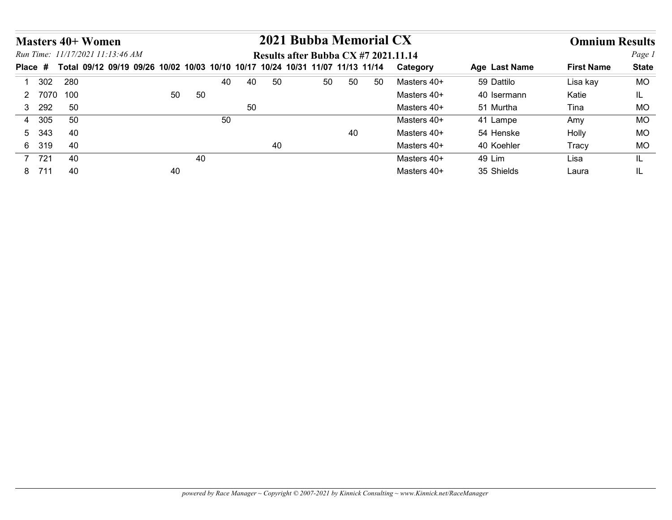|         | <b>Masters 40+ Women</b>                                                      |    |    |    |          | 2021 Bubba Memorial CX               |    |    |    |             |               | <b>Omnium Results</b> |              |
|---------|-------------------------------------------------------------------------------|----|----|----|----------|--------------------------------------|----|----|----|-------------|---------------|-----------------------|--------------|
|         | Run Time: 11/17/2021 11:13:46 AM                                              |    |    |    |          | Results after Bubba CX #7 2021.11.14 |    |    |    |             |               |                       | Page 1       |
| Place # | Total 09/12 09/19 09/26 10/02 10/03 10/10 10/17 10/24 10/31 11/07 11/13 11/14 |    |    |    |          |                                      |    |    |    | Category    | Age Last Name | <b>First Name</b>     | <b>State</b> |
| 1 302   | 280                                                                           |    |    | 40 | 40<br>50 |                                      | 50 | 50 | 50 | Masters 40+ | 59 Dattilo    | Lisa kay              | <b>MO</b>    |
|         | 2 7070 100                                                                    | 50 | 50 |    |          |                                      |    |    |    | Masters 40+ | 40 Isermann   | Katie                 | IL.          |
| 3 292   | 50                                                                            |    |    |    | 50       |                                      |    |    |    | Masters 40+ | 51 Murtha     | Tina                  | <b>MO</b>    |
| 4 305   | 50                                                                            |    |    | 50 |          |                                      |    |    |    | Masters 40+ | 41 Lampe      | Amy                   | <b>MO</b>    |
| 5 343   | 40                                                                            |    |    |    |          |                                      |    | 40 |    | Masters 40+ | 54 Henske     | Holly                 | <b>MO</b>    |
| 6 319   | 40                                                                            |    |    |    | 40       |                                      |    |    |    | Masters 40+ | 40 Koehler    | Tracy                 | <b>MO</b>    |
| 7 721   | 40<br>40                                                                      |    | 40 |    |          |                                      |    |    |    | Masters 40+ | 49 Lim        | Lisa                  | IL.          |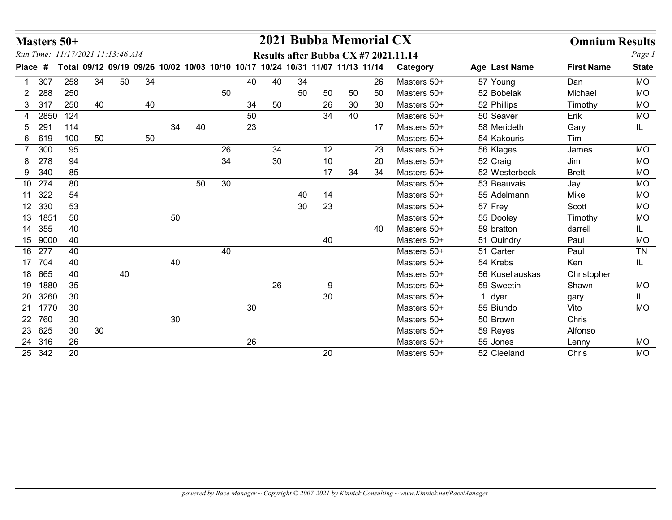|                       | Masters 50+  | Run Time: 11/17/2021 11:13:46 AM                                              |    |    |    |    |    |                 |    |    |        | 2021 Bubba Memorial CX |    | Results after Bubba CX #7 2021.11.14 |                         | <b>Omnium Results</b> | Page 1       |
|-----------------------|--------------|-------------------------------------------------------------------------------|----|----|----|----|----|-----------------|----|----|--------|------------------------|----|--------------------------------------|-------------------------|-----------------------|--------------|
| Place #               |              | Total 09/12 09/19 09/26 10/02 10/03 10/10 10/17 10/24 10/31 11/07 11/13 11/14 |    |    |    |    |    |                 |    |    |        |                        |    | Category                             | Age Last Name           | <b>First Name</b>     | <b>State</b> |
| 307                   | 258          | 34                                                                            | 50 | 34 |    |    |    | 40              | 40 | 34 |        |                        | 26 | Masters 50+                          | 57 Young                | Dan                   | <b>MO</b>    |
| 288<br>2              | 250          |                                                                               |    |    |    |    | 50 |                 |    | 50 | 50     | 50                     | 50 | Masters 50+                          | 52 Bobelak              | Michael               | <b>MO</b>    |
| 3 317                 | 250          | 40                                                                            |    | 40 |    |    |    | 34              | 50 |    | 26     | 30                     | 30 | Masters 50+                          | 52 Phillips             | Timothy               | <b>MO</b>    |
| 4                     | 2850 124     |                                                                               |    |    |    |    |    | 50              |    |    | 34     | 40                     |    | Masters 50+                          | 50 Seaver               | Erik                  | <b>MO</b>    |
| 291<br>5.             | 114          |                                                                               |    |    | 34 | 40 |    | 23              |    |    |        |                        | 17 | Masters 50+                          | 58 Merideth             | Gary                  | IL.          |
| 6 619                 | 100          | 50                                                                            |    | 50 |    |    |    |                 |    |    |        |                        |    | Masters 50+                          | 54 Kakouris             | Tim                   |              |
| 300<br>$\overline{7}$ | 95           |                                                                               |    |    |    |    | 26 |                 | 34 |    | 12     |                        | 23 | Masters 50+                          | 56 Klages               | James                 | <b>MO</b>    |
| 278<br>8.             |              | 94                                                                            |    |    |    |    | 34 |                 | 30 |    | 10     |                        | 20 | Masters 50+                          | 52 Craig                | Jim                   | MO           |
| 9 340                 |              | 85                                                                            |    |    |    |    |    |                 |    |    | 17     | 34                     | 34 | Masters 50+                          | 52 Westerbeck           | <b>Brett</b>          | MO           |
| 10 274                |              | 80                                                                            |    |    |    | 50 | 30 |                 |    |    |        |                        |    | Masters 50+                          | 53 Beauvais             | Jay                   | <b>MO</b>    |
| 11 322                | 54           |                                                                               |    |    |    |    |    |                 |    | 40 | 14     |                        |    | Masters 50+                          | 55 Adelmann             | Mike                  | <b>MO</b>    |
| 12 330                |              | 53                                                                            |    |    |    |    |    |                 |    | 30 | 23     |                        |    | Masters 50+                          | 57 Frey                 | Scott                 | <b>MO</b>    |
| 13 1851               | 50           |                                                                               |    |    | 50 |    |    |                 |    |    |        |                        |    | Masters 50+                          | 55 Dooley               | Timothy               | MO           |
| 14 355                | 40           |                                                                               |    |    |    |    |    |                 |    |    |        |                        | 40 | Masters 50+                          | 59 bratton              | darrell               | IL.          |
| 15 9000               | 40           |                                                                               |    |    |    |    |    |                 |    |    | 40     |                        |    | Masters 50+                          | 51 Quindry              | Paul                  | $MO$         |
| 16 277                | 40           |                                                                               |    |    |    |    | 40 |                 |    |    |        |                        |    | Masters 50+                          | 51 Carter               | Paul                  | TN           |
| 17 704                |              | 40                                                                            |    |    | 40 |    |    |                 |    |    |        |                        |    | Masters 50+                          | 54 Krebs                | Ken                   | IL.          |
| 18 665                | 40           |                                                                               | 40 |    |    |    |    |                 |    |    |        |                        |    | Masters 50+                          | 56 Kuseliauskas         | Christopher           |              |
| 19 1880               | 35           |                                                                               |    |    |    |    |    |                 | 26 |    | 9      |                        |    | Masters 50+                          | 59 Sweetin              | Shawn                 | MO           |
| 20 3260               | 30           |                                                                               |    |    |    |    |    |                 |    |    | $30\,$ |                        |    | Masters 50+                          | 1 dyer                  | gary                  | IL.          |
| 21 1770               | 30           |                                                                               |    |    |    |    |    | 30 <sup>°</sup> |    |    |        |                        |    | Masters 50+                          | 55 Biundo               | Vito                  | <b>MO</b>    |
| 22 760                | 30           |                                                                               |    |    | 30 |    |    |                 |    |    |        |                        |    | Masters 50+                          | 50 Brown                | Chris                 |              |
| 23 625<br>24 316      | 30           | 30 <sup>°</sup>                                                               |    |    |    |    |    |                 |    |    |        |                        |    | Masters 50+                          | 59 Reyes                | Alfonso               |              |
|                       | 26<br>25 342 | 20                                                                            |    |    |    |    |    | 26              |    |    | 20     |                        |    | Masters 50+<br>Masters 50+           | 55 Jones<br>52 Cleeland | Lenny<br>Chris        | MO<br>MO     |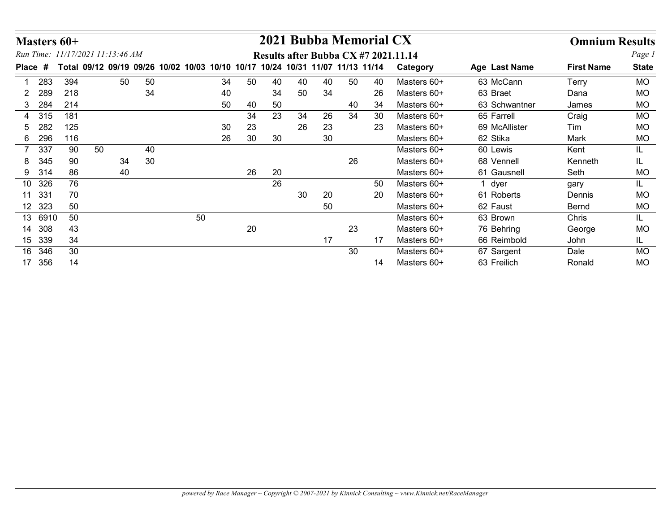|                  |            |            |                                                                               |    |    |          |          |    |          |          | 2021 Bubba Memorial CX |    |                                      |                           |                       |                        |
|------------------|------------|------------|-------------------------------------------------------------------------------|----|----|----------|----------|----|----------|----------|------------------------|----|--------------------------------------|---------------------------|-----------------------|------------------------|
| Masters 60+      |            |            | Run Time: 11/17/2021 11:13:46 AM                                              |    |    |          |          |    |          |          |                        |    |                                      |                           | <b>Omnium Results</b> |                        |
|                  |            |            | Total 09/12 09/19 09/26 10/02 10/03 10/10 10/17 10/24 10/31 11/07 11/13 11/14 |    |    |          |          |    |          |          |                        |    | Results after Bubba CX #7 2021.11.14 |                           | <b>First Name</b>     | Page 1<br><b>State</b> |
| Place #          |            |            |                                                                               |    |    |          |          |    |          |          |                        |    | Category                             | Age Last Name             |                       |                        |
|                  | 283        | 394        | 50                                                                            | 50 |    | 34       | 50       | 40 | 40       | 40       | 50                     | 40 | Masters 60+                          | 63 McCann                 | Terry                 | <b>MO</b>              |
| $\mathbf{2}^-$   | 289        | 218        |                                                                               | 34 |    | 40       |          | 34 | 50       | 34       |                        | 26 | Masters 60+                          | 63 Braet                  | Dana                  | <b>MO</b>              |
| 3 284            |            | 214        |                                                                               |    |    | 50       | 40       | 50 |          |          | 40                     | 34 | Masters 60+                          | 63 Schwantner             | James                 | <b>MO</b>              |
| 4                | 315<br>282 | 181<br>125 |                                                                               |    |    |          | 34       | 23 | 34<br>26 | 26       | 34                     | 30 | Masters 60+                          | 65 Farrell                | Craig                 | <b>MO</b>              |
| 5<br>6           | 296        | 116        |                                                                               |    |    | 30<br>26 | 23<br>30 | 30 |          | 23<br>30 |                        | 23 | Masters 60+<br>Masters 60+           | 69 McAllister<br>62 Stika | Tim<br>Mark           | <b>MO</b><br><b>MO</b> |
| $\overline{7}$   | 337        | 90         | 50                                                                            | 40 |    |          |          |    |          |          |                        |    | Masters 60+                          | 60 Lewis                  | Kent                  | IL.                    |
| 8                | 345        | 90         | 34                                                                            | 30 |    |          |          |    |          |          | 26                     |    | Masters 60+                          | 68 Vennell                | Kenneth               | IL.                    |
| 9 314            |            | 86         | 40                                                                            |    |    |          | 26       | 20 |          |          |                        |    | Masters 60+                          | 61 Gausnell               | Seth                  | <b>MO</b>              |
| 10 326           |            | 76         |                                                                               |    |    |          |          | 26 |          |          |                        | 50 | Masters 60+                          | 1 dyer                    | gary                  | IL.                    |
|                  |            | 70         |                                                                               |    |    |          |          |    | 30       | 20       |                        | 20 | Masters 60+                          | 61 Roberts                | Dennis                | <b>MO</b>              |
|                  |            | 50         |                                                                               |    |    |          |          |    |          | 50       |                        |    | Masters 60+                          | 62 Faust                  | Bernd                 | <b>MO</b>              |
| 11 331           |            | 50         |                                                                               |    | 50 |          |          |    |          |          |                        |    | Masters 60+                          | 63 Brown                  | Chris                 | IL                     |
| 12 323           |            | 43         |                                                                               |    |    |          | $20\,$   |    |          |          | 23                     |    | Masters 60+                          | 76 Behring                | George                | <b>MO</b>              |
| 13 6910          |            |            |                                                                               |    |    |          |          |    |          | $17$     |                        | 17 | Masters 60+                          | 66 Reimbold               | John                  | IL                     |
| 14 308<br>15 339 |            | 34         |                                                                               |    |    |          |          |    |          |          |                        |    | Masters 60+                          | 67 Sargent                | Dale                  | <b>MO</b>              |
| 16 346<br>17 356 |            | 30<br>14   |                                                                               |    |    |          |          |    |          |          | 30 <sup>°</sup>        |    | Masters 60+                          |                           |                       |                        |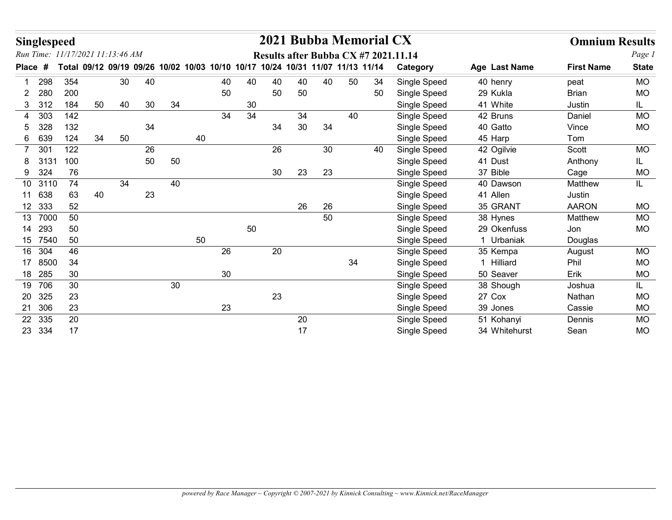|                | <b>Singlespeed</b> |                                  |    |    |    |    |    |                                                                               |    |    |    |    | 2021 Bubba Memorial CX |    |                                      |               | <b>Omnium Results</b> |              |
|----------------|--------------------|----------------------------------|----|----|----|----|----|-------------------------------------------------------------------------------|----|----|----|----|------------------------|----|--------------------------------------|---------------|-----------------------|--------------|
|                |                    | Run Time: 11/17/2021 11:13:46 AM |    |    |    |    |    |                                                                               |    |    |    |    |                        |    | Results after Bubba CX #7 2021.11.14 |               |                       | Page 1       |
| Place #        |                    |                                  |    |    |    |    |    | Total 09/12 09/19 09/26 10/02 10/03 10/10 10/17 10/24 10/31 11/07 11/13 11/14 |    |    |    |    |                        |    | Category                             | Age Last Name | <b>First Name</b>     | <b>State</b> |
|                | 298                | 354                              |    | 30 | 40 |    |    | 40                                                                            | 40 | 40 | 40 | 40 | 50                     | 34 | Single Speed                         | 40 henry      | peat                  | <b>MO</b>    |
| $\overline{2}$ | 280                | 200                              |    |    |    |    |    | 50                                                                            |    | 50 | 50 |    |                        | 50 | Single Speed                         | 29 Kukla      | <b>Brian</b>          | <b>MO</b>    |
| 3 312          |                    | 184                              | 50 | 40 | 30 | 34 |    |                                                                               | 30 |    |    |    |                        |    | Single Speed                         | 41 White      | Justin                | IL           |
| 4              | 303                | 142                              |    |    |    |    |    | 34                                                                            | 34 |    | 34 |    | 40                     |    | Single Speed                         | 42 Bruns      | Daniel                | <b>MO</b>    |
| 5              | 328                | 132                              |    |    | 34 |    |    |                                                                               |    | 34 | 30 | 34 |                        |    | Single Speed                         | 40 Gatto      | Vince                 | <b>MO</b>    |
| 6              | 639                | 124                              | 34 | 50 |    |    | 40 |                                                                               |    |    |    |    |                        |    | Single Speed                         | 45 Harp       | Tom                   |              |
| $\overline{7}$ | 301                | 122                              |    |    | 26 |    |    |                                                                               |    | 26 |    | 30 |                        | 40 | Single Speed                         | 42 Ogilvie    | Scott                 | <b>MO</b>    |
| 8              | 3131               | 100                              |    |    | 50 | 50 |    |                                                                               |    |    |    |    |                        |    | Single Speed                         | 41 Dust       | Anthony               | IL.          |
| 9              | 324                | 76                               |    |    |    |    |    |                                                                               |    | 30 | 23 | 23 |                        |    | Single Speed                         | 37 Bible      | Cage                  | <b>MO</b>    |
|                | 10 3110            | 74                               |    | 34 |    | 40 |    |                                                                               |    |    |    |    |                        |    | Single Speed                         | 40 Dawson     | Matthew               | IL.          |
| 11 638         |                    | 63                               | 40 |    | 23 |    |    |                                                                               |    |    |    |    |                        |    | Single Speed                         | 41 Allen      | Justin                |              |
| 12 333         |                    | 52                               |    |    |    |    |    |                                                                               |    |    | 26 | 26 |                        |    | Single Speed                         | 35 GRANT      | <b>AARON</b>          | <b>MO</b>    |
|                | 13 7000            | 50                               |    |    |    |    |    |                                                                               |    |    |    | 50 |                        |    | Single Speed                         | 38 Hynes      | Matthew               | MO           |
| 14 293         |                    | 50                               |    |    |    |    |    |                                                                               | 50 |    |    |    |                        |    | Single Speed                         | 29 Okenfuss   | Jon                   | <b>MO</b>    |
|                | 15 7540            | 50                               |    |    |    |    | 50 |                                                                               |    |    |    |    |                        |    | Single Speed                         | 1 Urbaniak    | Douglas               |              |
| 16 304         |                    | 46                               |    |    |    |    |    | 26                                                                            |    | 20 |    |    |                        |    | Single Speed                         | 35 Kempa      | August                | MO           |
|                | 17 8500            | 34                               |    |    |    |    |    |                                                                               |    |    |    |    | $34\,$                 |    | Single Speed                         | 1 Hilliard    | Phil                  | <b>MO</b>    |
| 18 285         |                    | 30                               |    |    |    |    |    | 30 <sub>o</sub>                                                               |    |    |    |    |                        |    | Single Speed                         | 50 Seaver     | Erik                  | MO           |
| 19 706         |                    | 30                               |    |    |    | 30 |    |                                                                               |    |    |    |    |                        |    | Single Speed                         | 38 Shough     | Joshua                | IL.          |
| 20 325         |                    | 23                               |    |    |    |    |    |                                                                               |    | 23 |    |    |                        |    | Single Speed                         | 27 Cox        | Nathan                | $\sf MO$     |
| 21 306         |                    | 23                               |    |    |    |    |    | 23                                                                            |    |    |    |    |                        |    | Single Speed                         | 39 Jones      | Cassie                | $MO$         |
| 22 335         |                    | 20                               |    |    |    |    |    |                                                                               |    |    | 20 |    |                        |    | Single Speed                         | 51 Kohanyi    | Dennis                | MO           |
|                | 23 334             | 17                               |    |    |    |    |    |                                                                               |    |    | 17 |    |                        |    | Single Speed                         | 34 Whitehurst | Sean                  | MO           |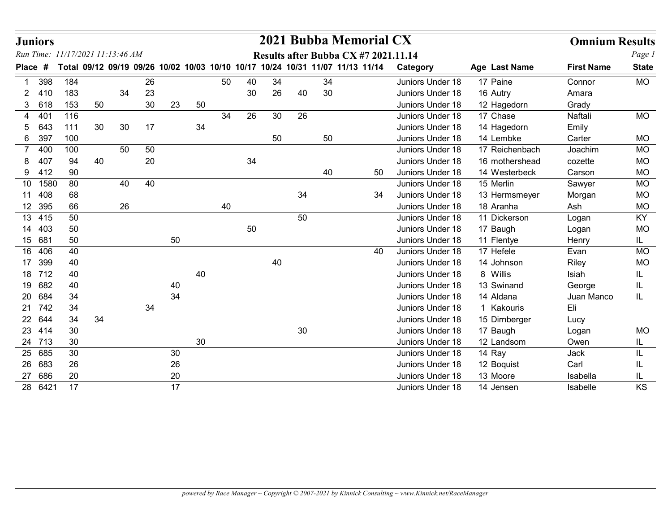|             | <b>Juniors</b>   |          |                                  |          |    |    |    |    |    |        |    | 2021 Bubba Memorial CX                                                        |                                      |                         | <b>Omnium Results</b> |                  |
|-------------|------------------|----------|----------------------------------|----------|----|----|----|----|----|--------|----|-------------------------------------------------------------------------------|--------------------------------------|-------------------------|-----------------------|------------------|
|             |                  |          | Run Time: 11/17/2021 11:13:46 AM |          |    |    |    |    |    |        |    | Results after Bubba CX #7 2021.11.14                                          |                                      |                         |                       | Page 1           |
| Place       | #                |          |                                  |          |    |    |    |    |    |        |    | Total 09/12 09/19 09/26 10/02 10/03 10/10 10/17 10/24 10/31 11/07 11/13 11/14 | Category                             | Age Last Name           | <b>First Name</b>     | <b>State</b>     |
|             | 398              | 184      |                                  | 26       |    |    | 50 | 40 | 34 |        | 34 |                                                                               | Juniors Under 18                     | 17 Paine                | Connor                | <b>MO</b>        |
| 2           | -410             | 183      |                                  | 34<br>23 |    |    |    | 30 | 26 | 40     | 30 |                                                                               | Juniors Under 18                     | 16 Autry                | Amara                 |                  |
| 3           | 618              | 153      | 50                               | 30       | 23 | 50 |    |    |    |        |    |                                                                               | Juniors Under 18                     | 12 Hagedorn             | Grady                 |                  |
| 4           | 401              | 116      |                                  |          |    |    | 34 | 26 | 30 | 26     |    |                                                                               | Juniors Under 18                     | 17 Chase                | Naftali               | <b>MO</b>        |
| 5           | 643              | 111      | 30                               | 30<br>17 |    | 34 |    |    |    |        |    |                                                                               | Juniors Under 18                     | 14 Hagedorn             | Emily                 |                  |
|             | 6 397            | 100      |                                  |          |    |    |    |    | 50 |        | 50 |                                                                               | Juniors Under 18                     | 14 Lembke               | Carter                | <b>MO</b>        |
| $7^{\circ}$ | 40 <sub>C</sub>  | 100      |                                  | 50<br>50 |    |    |    |    |    |        |    |                                                                               | Juniors Under 18                     | 17 Reichenbach          | Joachim               | <b>MO</b>        |
|             | 407              | 94       | 40                               | 20       |    |    |    | 34 |    |        |    |                                                                               | Juniors Under 18                     | 16 mothershead          | cozette               | <b>MO</b>        |
|             | 9 412            | 90       |                                  |          |    |    |    |    |    |        | 40 | 50                                                                            | Juniors Under 18                     | 14 Westerbeck           | Carson                | <b>MO</b>        |
|             | 10 1580          | 80       |                                  | 40<br>40 |    |    |    |    |    |        |    |                                                                               | Juniors Under 18                     | 15 Merlin               | Sawyer                | <b>MO</b>        |
|             | 11 408           | 68       |                                  |          |    |    |    |    |    | 34     |    | 34                                                                            | Juniors Under 18                     | 13 Hermsmeyer           | Morgan                | <b>MO</b>        |
|             | 12 395           | 66       |                                  | 26       |    |    | 40 |    |    |        |    |                                                                               | Juniors Under 18                     | 18 Aranha               | Ash                   | <b>MO</b>        |
|             | 13 415           | 50       |                                  |          |    |    |    |    |    | 50     |    |                                                                               | Juniors Under 18                     | 11 Dickerson            | Logan                 | KY               |
|             | 14 403           | 50       |                                  |          |    |    |    | 50 |    |        |    |                                                                               | Juniors Under 18                     | 17 Baugh                | Logan                 | <b>MO</b>        |
|             | 15 681           | 50       |                                  |          | 50 |    |    |    |    |        |    |                                                                               | Juniors Under 18                     | 11 Flentye              | Henry                 | IL.              |
|             | 16 406           | 40<br>40 |                                  |          |    |    |    |    | 40 |        |    | 40                                                                            | Juniors Under 18<br>Juniors Under 18 | 17 Hefele<br>14 Johnson | Evan                  | <b>MO</b>        |
|             | 17 399<br>18 712 | 40       |                                  |          |    | 40 |    |    |    |        |    |                                                                               | Juniors Under 18                     | 8 Willis                | Riley<br>Isiah        | <b>MO</b><br>IL. |
|             | 19 682           | 40       |                                  |          | 40 |    |    |    |    |        |    |                                                                               | Juniors Under 18                     | 13 Swinand              | George                | IL               |
|             | 20 684           | 34       |                                  |          | 34 |    |    |    |    |        |    |                                                                               | Juniors Under 18                     | 14 Aldana               | Juan Manco            | IL               |
|             | 21 742           | $34\,$   |                                  | 34       |    |    |    |    |    |        |    |                                                                               | Juniors Under 18                     | 1 Kakouris              | Eli                   |                  |
|             | 22 644           | 34       | 34                               |          |    |    |    |    |    |        |    |                                                                               | Juniors Under 18                     | 15 Dirnberger           | Lucy                  |                  |
|             | 23 414           | $30\,$   |                                  |          |    |    |    |    |    | $30\,$ |    |                                                                               | Juniors Under 18                     | 17 Baugh                | Logan                 | <b>MO</b>        |
|             | 24 713           | $30\,$   |                                  |          |    | 30 |    |    |    |        |    |                                                                               | Juniors Under 18                     | 12 Landsom              | Owen                  | IL               |
|             | 25 685           | $30\,$   |                                  |          | 30 |    |    |    |    |        |    |                                                                               | Juniors Under 18                     | 14 Ray                  | Jack                  | IL               |
|             | 26 683           | 26       |                                  |          | 26 |    |    |    |    |        |    |                                                                               | Juniors Under 18                     | 12 Boquist              | Carl                  | IL.              |
|             | 27 686           | 20       |                                  |          | 20 |    |    |    |    |        |    |                                                                               | Juniors Under 18                     | 13 Moore                | Isabella              | IL               |
|             | 28 6421          | 17       |                                  |          | 17 |    |    |    |    |        |    |                                                                               | Juniors Under 18                     | 14 Jensen               | Isabelle              | KS               |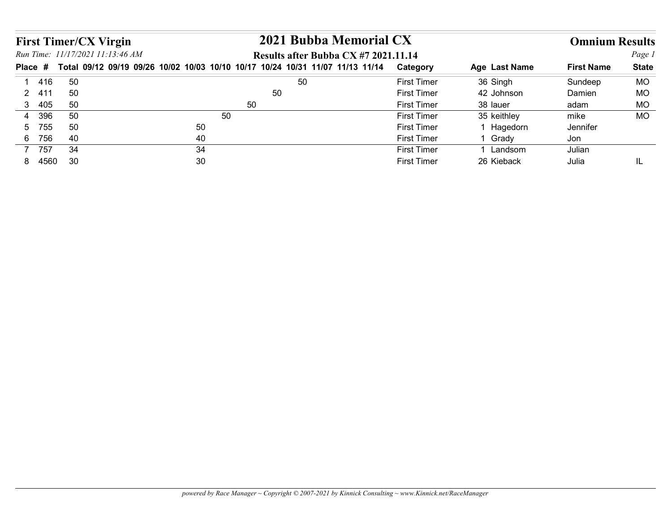|                                  |                                                                  | 2021 Bubba Memorial CX                                                                                                |                    |               |                       |              |
|----------------------------------|------------------------------------------------------------------|-----------------------------------------------------------------------------------------------------------------------|--------------------|---------------|-----------------------|--------------|
|                                  | <b>First Timer/CX Virgin</b><br>Run Time: 11/17/2021 11:13:46 AM |                                                                                                                       |                    |               | <b>Omnium Results</b> | Page 1       |
|                                  |                                                                  | Results after Bubba CX #7 2021.11.14<br>Total 09/12 09/19 09/26 10/02 10/03 10/10 10/17 10/24 10/31 11/07 11/13 11/14 | <b>Category</b>    | Age Last Name | <b>First Name</b>     | <b>State</b> |
| Place #<br>416<br>$\overline{1}$ | 50                                                               | 50                                                                                                                    | <b>First Timer</b> | 36 Singh      | Sundeep               | <b>MO</b>    |
| 2 411                            | 50                                                               | 50                                                                                                                    | <b>First Timer</b> | 42 Johnson    | Damien                | <b>MO</b>    |
| 405<br>3 <sup>7</sup>            | 50                                                               | 50                                                                                                                    | <b>First Timer</b> | 38 lauer      | adam                  | <b>MO</b>    |
| 396<br>$\overline{4}$            | 50                                                               | 50                                                                                                                    | <b>First Timer</b> | 35 keithley   | mike                  | <b>MO</b>    |
| 755<br>5                         | 50                                                               | 50                                                                                                                    | <b>First Timer</b> | 1 Hagedorn    | Jennifer              |              |
| 6 756                            | 40                                                               | 40                                                                                                                    | <b>First Timer</b> | 1 Grady       | Jon                   |              |
| 7 757                            | 34<br>30                                                         | 34                                                                                                                    | <b>First Timer</b> | 1 Landsom     | Julian                |              |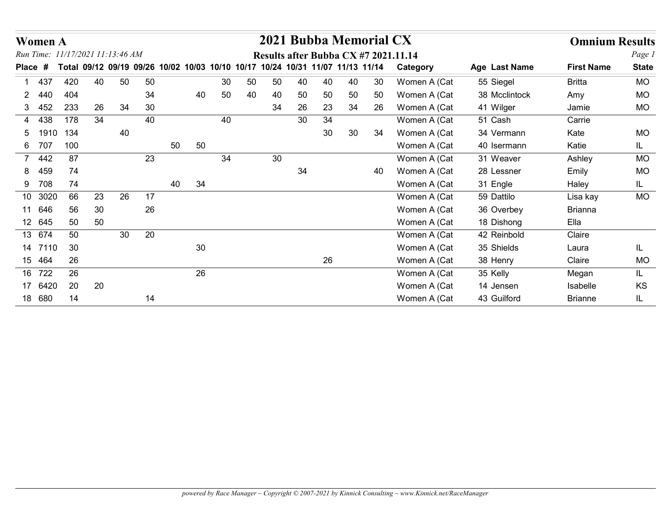|             | <b>Women A</b> |     |    |                                  |    |                                                                               |        |    |    | 2021 Bubba Memorial CX |    |    |    |    |                                      |               | <b>Omnium Results</b> |              |
|-------------|----------------|-----|----|----------------------------------|----|-------------------------------------------------------------------------------|--------|----|----|------------------------|----|----|----|----|--------------------------------------|---------------|-----------------------|--------------|
|             |                |     |    | Run Time: 11/17/2021 11:13:46 AM |    |                                                                               |        |    |    |                        |    |    |    |    | Results after Bubba CX #7 2021.11.14 |               |                       | Page 1       |
|             | Place #        |     |    |                                  |    | Total 09/12 09/19 09/26 10/02 10/03 10/10 10/17 10/24 10/31 11/07 11/13 11/14 |        |    |    |                        |    |    |    |    | Category                             | Age Last Name | <b>First Name</b>     | <b>State</b> |
|             | 437            | 420 | 40 | 50                               | 50 |                                                                               |        | 30 | 50 | 50                     | 40 | 40 | 40 | 30 | Women A (Cat                         | 55 Siegel     | <b>Britta</b>         | <b>MO</b>    |
| 2           | 440            | 404 |    |                                  | 34 |                                                                               | 40     | 50 | 40 | 40                     | 50 | 50 | 50 | 50 | Women A (Cat                         | 38 Mcclintock | Amy                   | MO           |
|             | 3 452          | 233 | 26 | 34                               | 30 |                                                                               |        |    |    | 34                     | 26 | 23 | 34 | 26 | Women A (Cat                         | 41 Wilger     | Jamie                 | <b>MO</b>    |
| 4           | 438            | 178 | 34 |                                  | 40 |                                                                               |        | 40 |    |                        | 30 | 34 |    |    | Women A (Cat                         | 51 Cash       | Carrie                |              |
| 5           | 1910           | 134 |    | 40                               |    |                                                                               |        |    |    |                        |    | 30 | 30 | 34 | Women A (Cat                         | 34 Vermann    | Kate                  | <b>MO</b>    |
|             | 6 707          | 100 |    |                                  |    | 50                                                                            | 50     |    |    |                        |    |    |    |    | Women A (Cat                         | 40 Isermann   | Katie                 | IL.          |
| $7^{\circ}$ | 442            | 87  |    |                                  | 23 |                                                                               |        | 34 |    | 30                     |    |    |    |    | Women A (Cat                         | 31 Weaver     | Ashley                | <b>MO</b>    |
| 8.          | 459            | 74  |    |                                  |    |                                                                               |        |    |    |                        | 34 |    |    | 40 | Women A (Cat                         | 28 Lessner    | Emily                 | <b>MO</b>    |
|             | 9 708          | 74  |    |                                  |    | 40                                                                            | 34     |    |    |                        |    |    |    |    | Women A (Cat                         | 31 Engle      | Haley                 | IL.          |
|             | 10 3020        | 66  | 23 | 26                               | 17 |                                                                               |        |    |    |                        |    |    |    |    | Women A (Cat                         | 59 Dattilo    | Lisa kay              | <b>MO</b>    |
|             | 11 646         | 56  | 30 |                                  | 26 |                                                                               |        |    |    |                        |    |    |    |    | Women A (Cat                         | 36 Overbey    | <b>Brianna</b>        |              |
|             | 12 645         | 50  | 50 |                                  |    |                                                                               |        |    |    |                        |    |    |    |    | Women A (Cat                         | 18 Dishong    | Ella                  |              |
|             | 13 674         | 50  |    | 30 <sup>°</sup>                  | 20 |                                                                               |        |    |    |                        |    |    |    |    | Women A (Cat                         | 42 Reinbold   | Claire                |              |
|             | 14 7110        | 30  |    |                                  |    |                                                                               | $30\,$ |    |    |                        |    |    |    |    | Women A (Cat                         | 35 Shields    | Laura                 | IL.          |
|             | 15 464         | 26  |    |                                  |    |                                                                               |        |    |    |                        |    | 26 |    |    | Women A (Cat                         | 38 Henry      | Claire                | <b>MO</b>    |
|             | 16 722         | 26  |    |                                  |    |                                                                               | 26     |    |    |                        |    |    |    |    | Women A (Cat                         | 35 Kelly      | Megan                 | IL.          |
|             | 17 6420        | 20  | 20 |                                  |    |                                                                               |        |    |    |                        |    |    |    |    | Women A (Cat                         | 14 Jensen     | Isabelle              | KS           |
|             | 18 680         | 14  |    |                                  | 14 |                                                                               |        |    |    |                        |    |    |    |    | Women A (Cat                         | 43 Guilford   | <b>Brianne</b>        | IL           |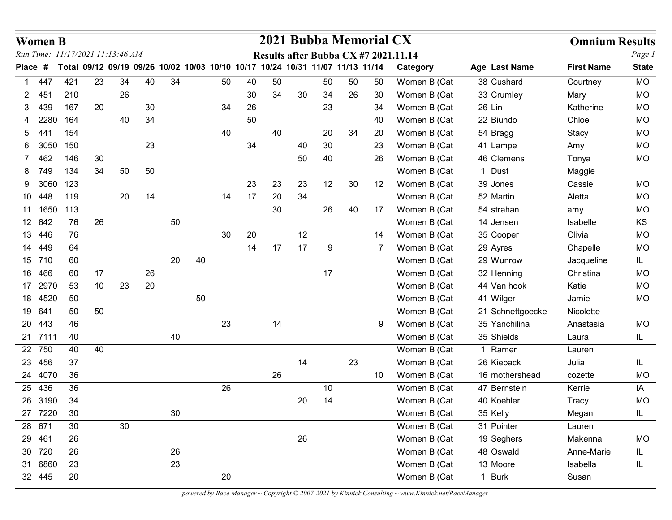|                | <b>Women B</b>        |                                                                               |    |    |    |        |    |    |    |          |    |    |    | 2021 Bubba Memorial CX |                                      |                         | <b>Omnium Results</b> |                        |
|----------------|-----------------------|-------------------------------------------------------------------------------|----|----|----|--------|----|----|----|----------|----|----|----|------------------------|--------------------------------------|-------------------------|-----------------------|------------------------|
|                |                       | Run Time: 11/17/2021 11:13:46 AM                                              |    |    |    |        |    |    |    |          |    |    |    |                        | Results after Bubba CX #7 2021.11.14 |                         |                       | Page 1                 |
| Place          | -#                    | Total 09/12 09/19 09/26 10/02 10/03 10/10 10/17 10/24 10/31 11/07 11/13 11/14 |    |    |    |        |    |    |    |          |    |    |    |                        | Category                             | Age Last Name           | <b>First Name</b>     | <b>State</b>           |
|                | 1 447                 | 421                                                                           | 23 | 34 | 40 | 34     |    | 50 | 40 | 50       |    | 50 | 50 | 50                     | Women B (Cat                         | 38 Cushard              | Courtney              | <b>MO</b>              |
|                | 2 451                 | 210                                                                           |    | 26 |    |        |    |    | 30 | 34       | 30 | 34 | 26 | 30                     | Women B (Cat                         | 33 Crumley              | Mary                  | <b>MO</b>              |
| 3              | 439                   | 167                                                                           | 20 |    | 30 |        |    | 34 | 26 |          |    | 23 |    | 34                     | Women B (Cat                         | 26 Lin                  | Katherine             | <b>MO</b>              |
| 4              | 2280                  | 164                                                                           |    | 40 | 34 |        |    |    | 50 |          |    |    |    | 40                     | Women B (Cat                         | 22 Biundo               | Chloe                 | <b>MO</b>              |
| 5              | -441                  | 154                                                                           |    |    |    |        |    | 40 |    | 40       |    | 20 | 34 | 20                     | Women B (Cat                         | 54 Bragg                | Stacy                 | <b>MO</b>              |
|                | 6 3050                | 150                                                                           |    |    | 23 |        |    |    | 34 |          | 40 | 30 |    | 23                     | Women B (Cat                         | 41 Lampe                | Amy                   | <b>MO</b>              |
| $\overline{7}$ | 462                   | 146                                                                           | 30 |    |    |        |    |    |    |          | 50 | 40 |    | 26                     | Women B (Cat                         | 46 Clemens              | Tonya                 | <b>MO</b>              |
| 8              | 749                   | 134                                                                           | 34 | 50 | 50 |        |    |    |    |          |    |    |    |                        | Women B (Cat                         | 1 Dust                  | Maggie                |                        |
|                | 9 3060                | 123                                                                           |    |    |    |        |    |    | 23 | 23       | 23 | 12 | 30 | 12                     | Women B (Cat                         | 39 Jones                | Cassie                | <b>MO</b>              |
|                | 10 448<br>11 1650 113 | 119                                                                           |    | 20 | 14 |        |    | 14 | 17 | 20<br>30 | 34 | 26 |    | 17                     | Women B (Cat<br>Women B (Cat         | 52 Martin<br>54 strahan | Aletta                | <b>MO</b><br><b>MO</b> |
|                | 12 642                | 76                                                                            | 26 |    |    | 50     |    |    |    |          |    |    | 40 |                        | Women B (Cat                         | 14 Jensen               | amy<br>Isabelle       | KS                     |
|                | 13 446                | 76                                                                            |    |    |    |        |    | 30 | 20 |          | 12 |    |    | 14                     | Women B (Cat                         | 35 Cooper               | Olivia                | <b>MO</b>              |
|                | 14 449                | 64                                                                            |    |    |    |        |    |    | 14 | 17       | 17 | 9  |    | 7                      | Women B (Cat                         | 29 Ayres                | Chapelle              | <b>MO</b>              |
|                | 15 710                | 60                                                                            |    |    |    | $20\,$ | 40 |    |    |          |    |    |    |                        | Women B (Cat                         | 29 Wunrow               | Jacqueline            | IL.                    |
|                | 16 466                | 60                                                                            | 17 |    | 26 |        |    |    |    |          |    | 17 |    |                        | Women B (Cat                         | 32 Henning              | Christina             | MO                     |
|                | 17 2970               | 53                                                                            | 10 | 23 | 20 |        |    |    |    |          |    |    |    |                        | Women B (Cat                         | 44 Van hook             | Katie                 | <b>MO</b>              |
|                | 18 4520               | 50                                                                            |    |    |    |        | 50 |    |    |          |    |    |    |                        | Women B (Cat                         | 41 Wilger               | Jamie                 | <b>MO</b>              |
|                | 19 641                | 50                                                                            | 50 |    |    |        |    |    |    |          |    |    |    |                        | Women B (Cat                         | 21 Schnettgoecke        | Nicolette             |                        |
|                | 20 443                | 46                                                                            |    |    |    |        |    | 23 |    | 14       |    |    |    | 9                      | Women B (Cat                         | 35 Yanchilina           | Anastasia             | <b>MO</b>              |
|                | 21 7111               | 40                                                                            |    |    |    | 40     |    |    |    |          |    |    |    |                        | Women B (Cat                         | 35 Shields              | Laura                 | IL.                    |
|                | 22 750                | 40                                                                            | 40 |    |    |        |    |    |    |          |    |    |    |                        | Women B (Cat                         | 1 Ramer                 | Lauren                |                        |
|                | 23 456                | 37                                                                            |    |    |    |        |    |    |    |          | 14 |    | 23 |                        | Women B (Cat                         | 26 Kieback              | Julia                 | IL                     |
|                | 24 4070               | 36                                                                            |    |    |    |        |    |    |    | 26       |    |    |    | 10                     | Women B (Cat                         | 16 mothershead          | cozette               | <b>MO</b>              |
|                | 25 436                | 36                                                                            |    |    |    |        |    | 26 |    |          |    | 10 |    |                        | Women B (Cat                         | 47 Bernstein            | Kerrie                | IA                     |
|                | 26 3190               | 34                                                                            |    |    |    |        |    |    |    |          | 20 | 14 |    |                        | Women B (Cat                         | 40 Koehler              | <b>Tracy</b>          | <b>MO</b>              |
|                | 27 7220               | 30                                                                            |    |    |    | $30\,$ |    |    |    |          |    |    |    |                        | Women B (Cat                         | 35 Kelly                | Megan                 | IL.                    |
|                | 28 671                | 30                                                                            |    | 30 |    |        |    |    |    |          |    |    |    |                        | Women B (Cat                         | 31 Pointer              | Lauren                |                        |
|                | 29 461                | 26                                                                            |    |    |    |        |    |    |    |          | 26 |    |    |                        | Women B (Cat                         | 19 Seghers              | Makenna               | <b>MO</b>              |
|                | 30 720                | 26                                                                            |    |    |    | 26     |    |    |    |          |    |    |    |                        | Women B (Cat                         | 48 Oswald               | Anne-Marie            | IL.                    |
|                | 31 6860               | 23                                                                            |    |    |    | 23     |    |    |    |          |    |    |    |                        | Women B (Cat                         | 13 Moore                | Isabella              | IL.                    |
|                | 32 445                | 20                                                                            |    |    |    |        |    | 20 |    |          |    |    |    |                        | Women B (Cat                         | 1 Burk                  | Susan                 |                        |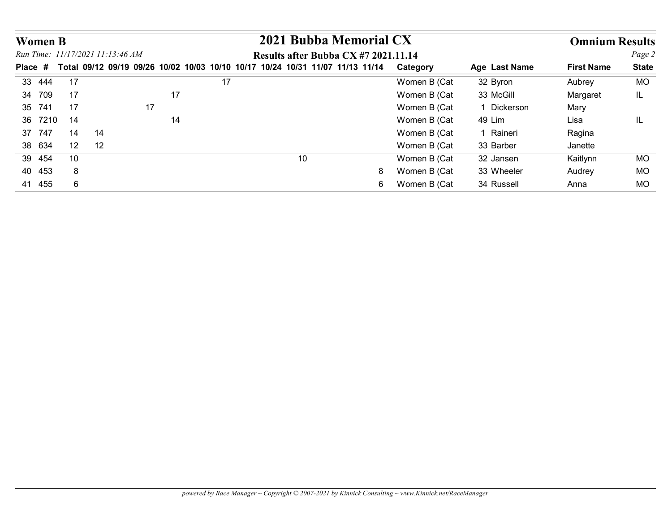| <b>Women B</b>   |          |    |                                  |    |    |    |                                                                               |                              |                       |                       |              |
|------------------|----------|----|----------------------------------|----|----|----|-------------------------------------------------------------------------------|------------------------------|-----------------------|-----------------------|--------------|
|                  |          |    |                                  |    |    |    | 2021 Bubba Memorial CX                                                        |                              |                       | <b>Omnium Results</b> |              |
|                  |          |    | Run Time: 11/17/2021 11:13:46 AM |    |    |    | Results after Bubba CX #7 2021.11.14                                          |                              |                       |                       | Page 2       |
| Place #          |          |    |                                  |    |    |    | Total 09/12 09/19 09/26 10/02 10/03 10/10 10/17 10/24 10/31 11/07 11/13 11/14 | Category                     | Age Last Name         | <b>First Name</b>     | <b>State</b> |
| 33 444           | 17<br>17 |    |                                  | 17 | 17 |    |                                                                               | Women B (Cat                 | 32 Byron<br>33 McGill | Aubrey                | <b>MO</b>    |
| 34 709<br>35 741 | 17       |    | 17                               |    |    |    |                                                                               | Women B (Cat<br>Women B (Cat | 1 Dickerson           | Margaret<br>Mary      | IL.          |
| 36 7210          | 14       |    |                                  | 14 |    |    |                                                                               | Women B (Cat                 | 49 Lim                | Lisa                  | IL           |
| 37 747           | 14       | 14 |                                  |    |    |    |                                                                               | Women B (Cat                 | 1 Raineri             | Ragina                |              |
| 38 634           | 12       | 12 |                                  |    |    |    |                                                                               | Women B (Cat                 | 33 Barber             | Janette               |              |
| 39 454           | 10       |    |                                  |    |    | 10 |                                                                               | Women B (Cat                 | 32 Jansen             | Kaitlynn              | <b>MO</b>    |
| 40 453           | 8        |    |                                  |    |    |    |                                                                               | Women B (Cat<br>8            | 33 Wheeler            | Audrey                | <b>MO</b>    |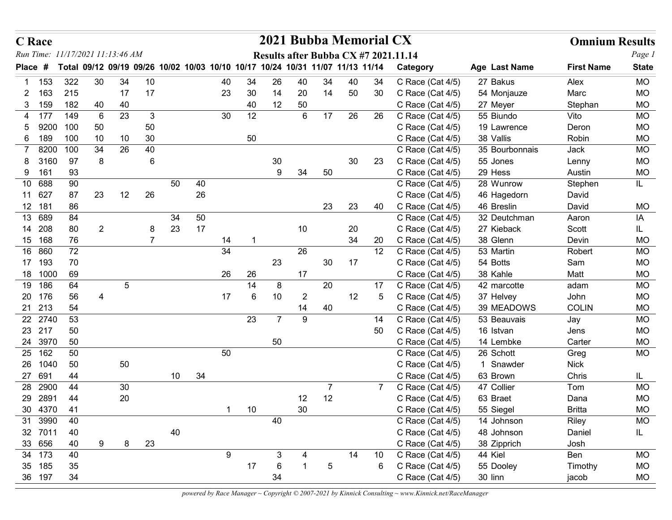|                       | <b>C</b> Race     |                                                                               |                |            |                     |          |          |    |          |                | 2021 Bubba Memorial CX               |                |          |                 |                                      |                            | <b>Omnium Results</b> |                        |
|-----------------------|-------------------|-------------------------------------------------------------------------------|----------------|------------|---------------------|----------|----------|----|----------|----------------|--------------------------------------|----------------|----------|-----------------|--------------------------------------|----------------------------|-----------------------|------------------------|
|                       |                   | Run Time: 11/17/2021 11:13:46 AM                                              |                |            |                     |          |          |    |          |                | Results after Bubba CX #7 2021.11.14 |                |          |                 |                                      |                            |                       | Page 1                 |
|                       | Place #           | Total 09/12 09/19 09/26 10/02 10/03 10/10 10/17 10/24 10/31 11/07 11/13 11/14 |                |            |                     |          |          |    |          |                |                                      |                |          |                 | Category                             | Age Last Name              | <b>First Name</b>     | <b>State</b>           |
|                       | 1 153             | 322                                                                           | 30             | 34         | 10                  |          |          | 40 | 34       | 26             | 40                                   | 34             | 40       | 34              | C Race (Cat 4/5)                     | 27 Bakus                   | Alex                  | <b>MO</b>              |
| $\mathbf{2}^{\prime}$ | 163               | 215<br>182                                                                    |                | 17         | 17                  |          |          | 23 | 30       | 14             | 20                                   | 14             | 50       | 30              | C Race (Cat 4/5)                     | 54 Monjauze                | Marc                  | <b>MO</b><br><b>MO</b> |
|                       | 159<br>3<br>4 177 | 149                                                                           | 40<br>6        | 40<br>23   | 3                   |          |          | 30 | 40<br>12 | 12             | 50<br>6                              | 17             | 26       | 26              | C Race (Cat 4/5)<br>C Race (Cat 4/5) | 27 Meyer<br>55 Biundo      | Stephan<br>Vito       | <b>MO</b>              |
| 5                     | 9200              | 100                                                                           | 50             |            | 50                  |          |          |    |          |                |                                      |                |          |                 | C Race (Cat 4/5)                     | 19 Lawrence                | Deron                 | <b>MO</b>              |
|                       | 6 189             | 100                                                                           | 10             | 10         | 30                  |          |          |    | 50       |                |                                      |                |          |                 | C Race (Cat 4/5)                     | 38 Vallis                  | Robin                 | <b>MO</b>              |
|                       | 8200              | 100                                                                           | 34             | 26         | 40                  |          |          |    |          |                |                                      |                |          |                 | C Race (Cat 4/5)                     | 35 Bourbonnais             | Jack                  | <b>MO</b>              |
| 8                     | 3160              | 97                                                                            | 8              |            | 6                   |          |          |    |          | 30             |                                      |                | 30       | 23              | C Race (Cat 4/5)                     | 55 Jones                   | Lenny                 | <b>MO</b>              |
| 9                     | 161               | 93                                                                            |                |            |                     |          |          |    |          | 9              | 34                                   | 50             |          |                 | C Race (Cat 4/5)                     | 29 Hess                    | Austin                | <b>MO</b>              |
|                       | 10 688            | 90                                                                            |                |            |                     | 50       | 40       |    |          |                |                                      |                |          |                 | C Race (Cat 4/5)                     | 28 Wunrow                  | Stephen               | IL                     |
|                       | 11 627            | 87                                                                            | 23             | 12         | 26                  |          | 26       |    |          |                |                                      |                |          |                 | C Race (Cat 4/5)                     | 46 Hagedorn                | David                 |                        |
|                       | 12 181            | 86                                                                            |                |            |                     |          |          |    |          |                |                                      | 23             | 23       | 40              | C Race (Cat 4/5)                     | 46 Breslin                 | David                 | <b>MO</b>              |
|                       | 13 689<br>14 208  | 84                                                                            | $\overline{2}$ |            |                     | 34<br>23 | 50<br>17 |    |          |                |                                      |                |          |                 | C Race (Cat 4/5)<br>C Race (Cat 4/5) | 32 Deutchman<br>27 Kieback | Aaron<br>Scott        | ΙA                     |
|                       | 15 168            | 80<br>76                                                                      |                |            | 8<br>$\overline{7}$ |          |          | 14 |          |                | 10                                   |                | 20<br>34 | 20              | C Race (Cat 4/5)                     | 38 Glenn                   | Devin                 | IL.<br><b>MO</b>       |
|                       | 16 860            | 72                                                                            |                |            |                     |          |          | 34 |          |                | 26                                   |                |          | 12              | C Race (Cat 4/5)                     | 53 Martin                  | Robert                | <b>MO</b>              |
|                       | 17 193            | 70                                                                            |                |            |                     |          |          |    |          | 23             |                                      | $30\,$         | 17       |                 | C Race (Cat 4/5)                     | 54 Botts                   | Sam                   | <b>MO</b>              |
|                       | 18 1000           | 69                                                                            |                |            |                     |          |          | 26 | 26       |                | 17                                   |                |          |                 | C Race (Cat 4/5)                     | 38 Kahle                   | Matt                  | <b>MO</b>              |
|                       | 19 186            | 64                                                                            |                | $\sqrt{5}$ |                     |          |          |    | 14       | 8              |                                      | 20             |          | 17              | C Race (Cat 4/5)                     | 42 marcotte                | adam                  | <b>MO</b>              |
|                       | 20 176            | 56                                                                            | $\overline{4}$ |            |                     |          |          | 17 | 6        | 10             | $\overline{2}$                       |                | 12       | $5\phantom{.0}$ | C Race (Cat 4/5)                     | 37 Helvey                  | John                  | <b>MO</b>              |
|                       | 21 213            | 54                                                                            |                |            |                     |          |          |    |          |                | 14                                   | 40             |          |                 | C Race (Cat 4/5)                     | 39 MEADOWS                 | <b>COLIN</b>          | $MO$                   |
|                       | 22 2740           | 53                                                                            |                |            |                     |          |          |    | 23       | $\overline{7}$ | 9                                    |                |          | 14              | C Race (Cat 4/5)                     | 53 Beauvais                | Jay                   | <b>MO</b>              |
|                       | 23 217            | 50                                                                            |                |            |                     |          |          |    |          |                |                                      |                |          | 50              | C Race (Cat 4/5)                     | 16 Istvan                  | Jens                  | <b>MO</b>              |
|                       | 24 3970<br>25 162 | 50<br>50                                                                      |                |            |                     |          |          | 50 |          | 50             |                                      |                |          |                 | C Race (Cat 4/5)<br>C Race (Cat 4/5) | 14 Lembke<br>26 Schott     | Carter                | <b>MO</b><br><b>MO</b> |
|                       | 26 1040           | 50                                                                            |                | $50\,$     |                     |          |          |    |          |                |                                      |                |          |                 | C Race (Cat 4/5)                     | 1 Snawder                  | Greg<br><b>Nick</b>   |                        |
|                       | 27 691            | 44                                                                            |                |            |                     | 10       | 34       |    |          |                |                                      |                |          |                 | C Race (Cat 4/5)                     | 63 Brown                   | Chris                 | IL.                    |
|                       | 28 2900           | 44                                                                            |                | 30         |                     |          |          |    |          |                |                                      | $\overline{7}$ |          | $\overline{7}$  | C Race (Cat 4/5)                     | 47 Collier                 | Tom                   | <b>MO</b>              |
|                       | 29 2891           | 44                                                                            |                | 20         |                     |          |          |    |          |                | 12                                   | 12             |          |                 | C Race (Cat 4/5)                     | 63 Braet                   | Dana                  | <b>MO</b>              |
|                       | 30 4370           | 41                                                                            |                |            |                     |          |          | -1 | $10\,$   |                | $30\,$                               |                |          |                 | C Race (Cat 4/5)                     | 55 Siegel                  | <b>Britta</b>         | $MO$                   |
|                       | 31 3990           | 40                                                                            |                |            |                     |          |          |    |          | 40             |                                      |                |          |                 | C Race (Cat 4/5)                     | 14 Johnson                 | Riley                 | <b>MO</b>              |
|                       | 32 7011           | 40                                                                            |                |            |                     | 40       |          |    |          |                |                                      |                |          |                 | C Race (Cat 4/5)                     | 48 Johnson                 | Daniel                | IL.                    |
|                       | 33 656            | 40                                                                            | 9              | 8          | 23                  |          |          |    |          |                |                                      |                |          |                 | C Race (Cat 4/5)                     | 38 Zipprich                | Josh                  |                        |
|                       | 34 173            | 40                                                                            |                |            |                     |          |          | 9  |          | $\mathfrak{S}$ | 4                                    |                | 14       | 10              | C Race (Cat 4/5)                     | 44 Kiel                    | Ben                   | <b>MO</b>              |
|                       | 35 185<br>36 197  | 35<br>34                                                                      |                |            |                     |          |          |    | 17       | $\,6\,$<br>34  |                                      | $\sqrt{5}$     |          | 6               | C Race (Cat 4/5)<br>C Race (Cat 4/5) | 55 Dooley<br>30 linn       | Timothy<br>jacob      | <b>MO</b><br><b>MO</b> |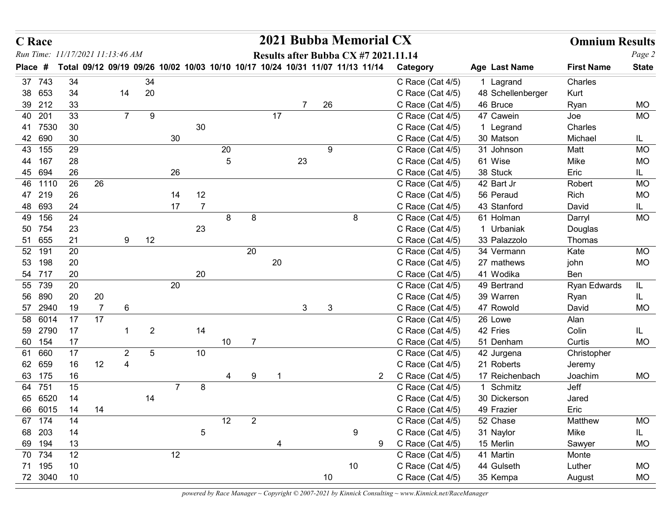| <b>C</b> Race                    |          |                |                 |              |                |                |      |                |    |              |              | 2021 Bubba Memorial CX                                                        |                                      |                                | <b>Omnium Results</b> |                  |
|----------------------------------|----------|----------------|-----------------|--------------|----------------|----------------|------|----------------|----|--------------|--------------|-------------------------------------------------------------------------------|--------------------------------------|--------------------------------|-----------------------|------------------|
| Run Time: 11/17/2021 11:13:46 AM |          |                |                 |              |                |                |      |                |    |              |              | Results after Bubba CX #7 2021.11.14                                          |                                      |                                |                       | Page 2           |
| Place #                          |          |                |                 |              |                |                |      |                |    |              |              | Total 09/12 09/19 09/26 10/02 10/03 10/10 10/17 10/24 10/31 11/07 11/13 11/14 | Category                             | Age Last Name                  | <b>First Name</b>     | <b>State</b>     |
| 37 743<br>38 653                 | 34<br>34 |                | 14              | 34<br>20     |                |                |      |                |    |              |              |                                                                               | C Race (Cat 4/5)<br>C Race (Cat 4/5) | 1 Lagrand<br>48 Schellenberger | Charles<br>Kurt       |                  |
| 39 212                           | 33       |                |                 |              |                |                |      |                |    |              | 26           |                                                                               | C Race (Cat 4/5)                     | 46 Bruce                       | Ryan                  | <b>MO</b>        |
| 40 201                           | 33       |                | $7^{\circ}$     | 9            |                |                |      |                | 17 |              |              |                                                                               | C Race (Cat 4/5)                     | 47 Cawein                      | Joe                   | MO               |
| 41 7530                          | 30       |                |                 |              |                | 30             |      |                |    |              |              |                                                                               | C Race (Cat 4/5)                     | 1 Legrand                      | Charles               |                  |
| 42 690                           | 30       |                |                 |              | 30             |                |      |                |    |              |              |                                                                               | C Race (Cat 4/5)                     | 30 Matson                      | Michael               | IL.              |
| 43 155                           | 29       |                |                 |              |                |                | 20   |                |    |              | 9            |                                                                               | C Race (Cat 4/5)                     | 31 Johnson                     | Matt                  | <b>MO</b>        |
| 44 167<br>45 694                 | 28<br>26 |                |                 |              | 26             |                | 5    |                |    | 23           |              |                                                                               | C Race (Cat 4/5)<br>C Race (Cat 4/5) | 61 Wise<br>38 Stuck            | Mike<br>Eric          | <b>MO</b><br>IL. |
| 46 1110                          | 26       | 26             |                 |              |                |                |      |                |    |              |              |                                                                               | C Race (Cat 4/5)                     | 42 Bart Jr                     | Robert                | <b>MO</b>        |
| 47 219                           | 26       |                |                 |              | 14             | 12             |      |                |    |              |              |                                                                               | C Race (Cat 4/5)                     | 56 Peraud                      | Rich                  | <b>MO</b>        |
| 48 693                           | 24       |                |                 |              | 17             | $\overline{7}$ |      |                |    |              |              |                                                                               | C Race (Cat 4/5)                     | 43 Stanford                    | David                 | IL.              |
| 49<br>156                        | 24       |                |                 |              |                |                | 8    | 8              |    |              |              | 8                                                                             | C Race (Cat $4/5$ )                  | 61 Holman                      | Darryl                | MO               |
| 50<br>754                        | 23       |                |                 |              |                | 23             |      |                |    |              |              |                                                                               | C Race (Cat 4/5)                     | 1 Urbaniak                     | Douglas               |                  |
| 51 655                           | 21       |                | 9               | 12           |                |                |      |                |    |              |              |                                                                               | C Race (Cat 4/5)                     | 33 Palazzolo                   | Thomas                |                  |
| 52 191<br>53 198                 | 20<br>20 |                |                 |              |                |                |      | 20             | 20 |              |              |                                                                               | C Race (Cat 4/5)<br>C Race (Cat 4/5) | 34 Vermann<br>27 mathews       | Kate<br>john          | MO<br><b>MO</b>  |
| 54 717                           | 20       |                |                 |              |                | 20             |      |                |    |              |              |                                                                               | C Race (Cat 4/5)                     | 41 Wodika                      | Ben                   |                  |
| 55 739                           | 20       |                |                 |              | 20             |                |      |                |    |              |              |                                                                               | C Race (Cat 4/5)                     | 49 Bertrand                    | Ryan Edwards          | IL.              |
| 56 890                           | 20       | $20\,$         |                 |              |                |                |      |                |    |              |              |                                                                               | C Race (Cat 4/5)                     | 39 Warren                      | Ryan                  | IL               |
| 57 2940                          | 19       | $\overline{7}$ | $6\phantom{.}6$ |              |                |                |      |                |    | $\mathbf{3}$ | $\mathbf{3}$ |                                                                               | C Race (Cat 4/5)                     | 47 Rowold                      | David                 | <b>MO</b>        |
| 58 6014                          | 17       | 17             |                 |              |                |                |      |                |    |              |              |                                                                               | C Race (Cat 4/5)                     | 26 Lowe                        | Alan                  |                  |
| 59 2790<br>60 154                | 17<br>17 |                | $\overline{1}$  | $\mathbf{2}$ |                | 14             | $10$ | $\overline{7}$ |    |              |              |                                                                               | C Race (Cat 4/5)<br>C Race (Cat 4/5) | 42 Fries<br>51 Denham          | Colin<br>Curtis       | IL<br><b>MO</b>  |
| 61 660                           | 17       |                | $\overline{2}$  | $\sqrt{5}$   |                | 10             |      |                |    |              |              |                                                                               | C Race (Cat 4/5)                     | 42 Jurgena                     | Christopher           |                  |
| 62 659                           | 16       | 12             | $\overline{4}$  |              |                |                |      |                |    |              |              |                                                                               | C Race (Cat 4/5)                     | 21 Roberts                     | Jeremy                |                  |
| 63 175                           | 16       |                |                 |              |                |                |      | 9              |    |              |              | $\overline{2}$                                                                | C Race (Cat 4/5)                     | 17 Reichenbach                 | Joachim               | MO               |
| 64 751                           | 15       |                |                 |              | $\overline{7}$ | 8              |      |                |    |              |              |                                                                               | C Race (Cat 4/5)                     | 1 Schmitz                      | Jeff                  |                  |
| 65 6520                          | 14       |                |                 | 14           |                |                |      |                |    |              |              |                                                                               | C Race (Cat 4/5)                     | 30 Dickerson                   | Jared                 |                  |
| 66 6015                          | 14       | 14             |                 |              |                |                |      |                |    |              |              |                                                                               | C Race (Cat 4/5)                     | 49 Frazier                     | Eric                  |                  |
| 67 174                           | 14       |                |                 |              |                |                | 12   | $\overline{2}$ |    |              |              |                                                                               | C Race (Cat 4/5)                     | 52 Chase                       | Matthew               | <b>MO</b>        |
| 68 203<br>69 194                 | 14<br>13 |                |                 |              |                | 5              |      |                |    |              |              | 9<br>9                                                                        | C Race (Cat 4/5)<br>C Race (Cat 4/5) | 31 Naylor<br>15 Merlin         | Mike<br>Sawyer        | IL.<br><b>MO</b> |
| 70 734                           | 12       |                |                 |              | 12             |                |      |                |    |              |              |                                                                               | C Race (Cat 4/5)                     | 41 Martin                      | Monte                 |                  |
|                                  | $10$     |                |                 |              |                |                |      |                |    |              |              | 10                                                                            | C Race (Cat 4/5)                     | 44 Gulseth                     | Luther                | <b>MO</b>        |
| 71 195                           |          |                |                 |              |                |                |      |                |    |              | 10           |                                                                               | C Race (Cat 4/5)                     | 35 Kempa                       |                       | <b>MO</b>        |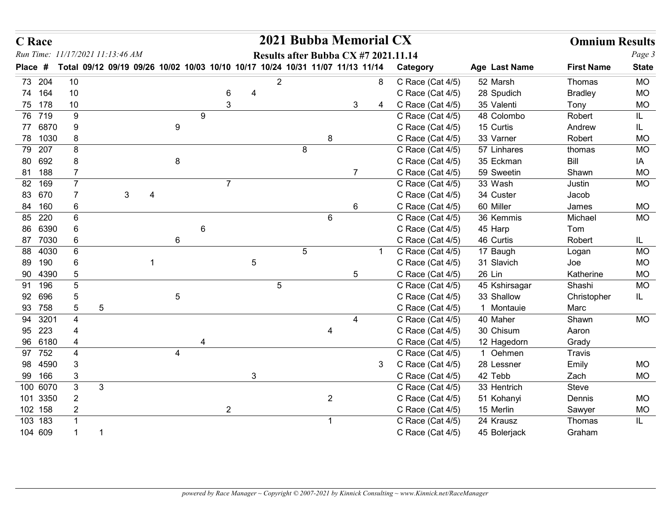| <b>C</b> Race                    |                      |                                                                               |                |                |   |                |   |                |                 |                | 2021 Bubba Memorial CX               |    |                                      |                          | <b>Omnium Results</b>  |                        |
|----------------------------------|----------------------|-------------------------------------------------------------------------------|----------------|----------------|---|----------------|---|----------------|-----------------|----------------|--------------------------------------|----|--------------------------------------|--------------------------|------------------------|------------------------|
| Run Time: 11/17/2021 11:13:46 AM |                      | Total 09/12 09/19 09/26 10/02 10/03 10/10 10/17 10/24 10/31 11/07 11/13 11/14 |                |                |   |                |   |                |                 |                | Results after Bubba CX #7 2021.11.14 |    |                                      |                          | <b>First Name</b>      | Page 3<br><b>State</b> |
| Place #                          |                      |                                                                               |                |                |   |                |   |                |                 |                |                                      |    | Category                             | Age Last Name            |                        |                        |
| 73 204<br>74 164                 | 10                   |                                                                               |                |                |   |                |   | $\overline{2}$ |                 |                |                                      | 8  | C Race (Cat 4/5)                     | 52 Marsh                 | Thomas                 | <b>MO</b>              |
| 75 178                           | 10<br>10             |                                                                               |                |                |   | 6<br>3         | 4 |                |                 |                | 3                                    | 4  | C Race (Cat 4/5)<br>C Race (Cat 4/5) | 28 Spudich<br>35 Valenti | <b>Bradley</b><br>Tony | <b>MO</b><br><b>MO</b> |
| 76 719                           | 9                    |                                                                               |                |                | 9 |                |   |                |                 |                |                                      |    | C Race (Cat 4/5)                     | 48 Colombo               | Robert                 | IL                     |
| 77 6870                          | 9                    |                                                                               |                | 9              |   |                |   |                |                 |                |                                      |    | C Race (Cat 4/5)                     | 15 Curtis                | Andrew                 | IL                     |
| 78 1030                          | 8                    |                                                                               |                |                |   |                |   |                |                 | 8              |                                      |    | C Race (Cat 4/5)                     | 33 Varner                | Robert                 | <b>MO</b>              |
| 79 207                           | 8                    |                                                                               |                |                |   |                |   |                | 8               |                |                                      |    | C Race (Cat 4/5)                     | 57 Linhares              | thomas                 | <b>MO</b>              |
| 80 692                           | 8                    |                                                                               |                | 8              |   |                |   |                |                 |                |                                      |    | C Race (Cat 4/5)                     | 35 Eckman                | Bill                   | IA                     |
| 81 188                           | $\overline{7}$       |                                                                               |                |                |   |                |   |                |                 |                | 7                                    |    | C Race (Cat 4/5)                     | 59 Sweetin               | Shawn                  | <b>MO</b>              |
| 82 169                           | $\overline{7}$       |                                                                               |                |                |   | $\overline{7}$ |   |                |                 |                |                                      |    | C Race (Cat 4/5)                     | 33 Wash                  | Justin                 | <b>MO</b>              |
| 83 670                           | $\overline{7}$       | 3 <sup>1</sup>                                                                | $\overline{4}$ |                |   |                |   |                |                 |                |                                      |    | C Race (Cat 4/5)                     | 34 Custer                | Jacob                  |                        |
| 84 160                           | 6                    |                                                                               |                |                |   |                |   |                |                 |                | 6                                    |    | C Race (Cat 4/5)                     | 60 Miller                | James                  | <b>MO</b>              |
| 85 220<br>86 6390                | 6<br>$\,6\,$         |                                                                               |                |                | 6 |                |   |                |                 | 6              |                                      |    | C Race (Cat 4/5)<br>C Race (Cat 4/5) | 36 Kemmis<br>45 Harp     | Michael<br>Tom         | MO                     |
| 87 7030                          | $6\phantom{.}6$      |                                                                               |                | $\,6\,$        |   |                |   |                |                 |                |                                      |    | C Race (Cat 4/5)                     | 46 Curtis                | Robert                 | IL.                    |
| 88 4030                          | $\,6$                |                                                                               |                |                |   |                |   |                | $5\phantom{.0}$ |                |                                      | -1 | C Race (Cat 4/5)                     | 17 Baugh                 | Logan                  | <b>MO</b>              |
| 89 190                           | $\,6$                |                                                                               |                |                |   |                | 5 |                |                 |                |                                      |    | C Race (Cat 4/5)                     | 31 Slavich               | Joe                    | <b>MO</b>              |
| 90 4390                          | $\overline{5}$       |                                                                               |                |                |   |                |   |                |                 |                | $5\phantom{.0}$                      |    | C Race (Cat 4/5)                     | 26 Lin                   | Katherine              | $MO$                   |
| 91 196                           | $\overline{5}$       |                                                                               |                |                |   |                |   | $\sqrt{5}$     |                 |                |                                      |    | C Race (Cat 4/5)                     | 45 Kshirsagar            | Shashi                 | <b>MO</b>              |
| 92 696                           | 5                    |                                                                               |                | $\sqrt{5}$     |   |                |   |                |                 |                |                                      |    | C Race (Cat 4/5)                     | 33 Shallow               | Christopher            | IL.                    |
| 93 758                           | $\sqrt{5}$           | $\sqrt{5}$                                                                    |                |                |   |                |   |                |                 |                |                                      |    | C Race (Cat 4/5)                     | 1 Montauie               | Marc                   |                        |
| 94 3201                          | $\overline{4}$       |                                                                               |                |                |   |                |   |                |                 |                |                                      |    | C Race (Cat 4/5)                     | 40 Maher                 | Shawn                  | <b>MO</b>              |
| 95 223<br>96 6180                | $\overline{4}$       |                                                                               |                |                |   |                |   |                |                 | 4              |                                      |    | C Race (Cat 4/5)<br>C Race (Cat 4/5) | 30 Chisum<br>12 Hagedorn | Aaron<br>Grady         |                        |
| 97 752                           |                      |                                                                               |                | $\overline{4}$ |   |                |   |                |                 |                |                                      |    | C Race (Cat 4/5)                     | 1 Oehmen                 | Travis                 |                        |
| 98 4590                          | $\mathbf{3}$         |                                                                               |                |                |   |                |   |                |                 |                |                                      | 3  | C Race (Cat 4/5)                     | 28 Lessner               | Emily                  | <b>MO</b>              |
| 99 166                           | $\mathbf{3}$         |                                                                               |                |                |   |                | 3 |                |                 |                |                                      |    | C Race (Cat 4/5)                     | 42 Tebb                  | Zach                   | MO                     |
| 100 6070                         | $\mathbf{3}$         | $\mathbf{3}$                                                                  |                |                |   |                |   |                |                 |                |                                      |    | C Race (Cat 4/5)                     | 33 Hentrich              | Steve                  |                        |
| 101 3350                         | $\overline{2}$       |                                                                               |                |                |   |                |   |                |                 | $\overline{a}$ |                                      |    | C Race (Cat 4/5)                     | 51 Kohanyi               | Dennis                 | MO                     |
| 102 158                          | $\overline{2}$       |                                                                               |                |                |   | $2^{\circ}$    |   |                |                 |                |                                      |    | C Race (Cat 4/5)                     | 15 Merlin                | Sawyer                 | $\sf MO$               |
| 103 183                          | $\overline{1}$       |                                                                               |                |                |   |                |   |                |                 | $\overline{1}$ |                                      |    | C Race (Cat 4/5)                     | 24 Krausz                | Thomas                 | IL.                    |
| 104 609                          | $\blacktriangleleft$ | $\overline{\mathbf{1}}$                                                       |                |                |   |                |   |                |                 |                |                                      |    | C Race (Cat 4/5)                     | 45 Bolerjack             | Graham                 |                        |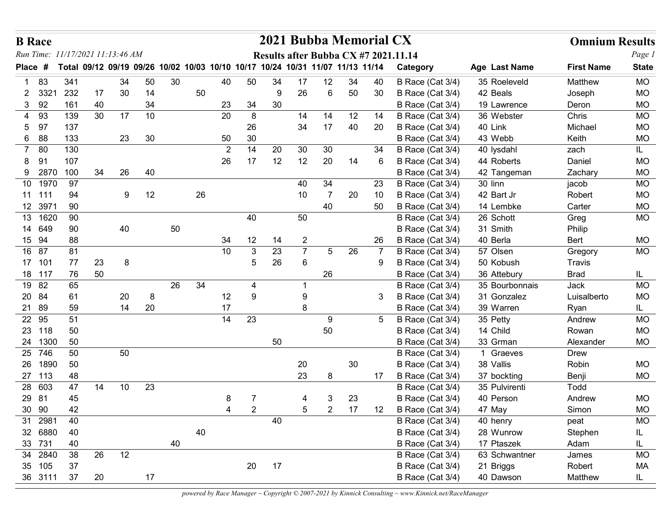|    | <b>B</b> Race        |                                                                               |          |    |          |    |    |                |                |         | 2021 Bubba Memorial CX |                |        |    |                                      |                         | <b>Omnium Results</b> |                        |
|----|----------------------|-------------------------------------------------------------------------------|----------|----|----------|----|----|----------------|----------------|---------|------------------------|----------------|--------|----|--------------------------------------|-------------------------|-----------------------|------------------------|
|    |                      | Run Time: 11/17/2021 11:13:46 AM                                              |          |    |          |    |    |                |                |         |                        |                |        |    | Results after Bubba CX #7 2021.11.14 |                         |                       | Page 1                 |
|    | <b>Place</b><br>#    | Total 09/12 09/19 09/26 10/02 10/03 10/10 10/17 10/24 10/31 11/07 11/13 11/14 |          |    |          |    |    |                |                |         |                        |                |        |    | Category                             | Age Last Name           | <b>First Name</b>     | <b>State</b>           |
| -1 | 83                   | 341                                                                           |          | 34 | 50       | 30 |    | 40             | 50             | 34      | 17                     | 12             | 34     | 40 | B Race (Cat 3/4)                     | 35 Roeleveld            | Matthew               | <b>MO</b>              |
|    | 3321<br>2.<br>3 92   | 232<br>161                                                                    | 17<br>40 | 30 | 14<br>34 |    | 50 | 23             | 34             | 9<br>30 | 26                     | 6              | 50     | 30 | B Race (Cat 3/4)<br>B Race (Cat 3/4) | 42 Beals<br>19 Lawrence | Joseph<br>Deron       | <b>MO</b><br><b>MO</b> |
|    | 93<br>4              | 139                                                                           | 30       | 17 | 10       |    |    | 20             | 8              |         | 14                     | 14             | 12     | 14 | B Race (Cat 3/4)                     | 36 Webster              | Chris                 | <b>MO</b>              |
|    | 97<br>5              | 137                                                                           |          |    |          |    |    |                | 26             |         | 34                     | 17             | 40     | 20 | B Race (Cat 3/4)                     | 40 Link                 | Michael               | <b>MO</b>              |
|    | 6 88                 | 133                                                                           |          | 23 | 30       |    |    | 50             | 30             |         |                        |                |        |    | B Race (Cat 3/4)                     | 43 Webb                 | Keith                 | <b>MO</b>              |
|    | 80<br>$7^{\circ}$    | 130                                                                           |          |    |          |    |    | $\overline{2}$ | 14             | 20      | 30                     | 30             |        | 34 | B Race (Cat 3/4)                     | 40 lysdahl              | zach                  | IL.                    |
|    | 9 <sup>′</sup>       | 107                                                                           |          |    |          |    |    | 26             | 17             | 12      | 12                     | 20             | 14     | 6  | B Race (Cat 3/4)                     | 44 Roberts              | Daniel                | <b>MO</b>              |
|    | 9 2870               | 100                                                                           | 34       | 26 | 40       |    |    |                |                |         |                        |                |        |    | B Race (Cat 3/4)                     | 42 Tangeman             | Zachary               | <b>MO</b>              |
|    | 10 1970              | 97                                                                            |          |    |          |    |    |                |                |         | 40                     | 34             |        | 23 | B Race (Cat 3/4)                     | 30 linn                 | jacob                 | <b>MO</b>              |
|    | 11 111               | 94                                                                            |          | 9  | 12       |    | 26 |                |                |         | 10                     | $\overline{7}$ | 20     | 10 | B Race (Cat 3/4)                     | 42 Bart Jr              | Robert                | <b>MO</b>              |
|    | 12 3971              | 90                                                                            |          |    |          |    |    |                |                |         |                        | 40             |        | 50 | B Race (Cat 3/4)                     | 14 Lembke               | Carter                | <b>MO</b>              |
|    | 13<br>1620<br>14 649 | 90<br>90                                                                      |          | 40 |          |    |    |                | 40             |         | 50                     |                |        |    | B Race (Cat 3/4)                     | 26 Schott               | Greg                  | MO                     |
|    | 15 94                | 88                                                                            |          |    |          | 50 |    | 34             | 12             | 14      | $\overline{2}$         |                |        | 26 | B Race (Cat 3/4)<br>B Race (Cat 3/4) | 31 Smith<br>40 Berla    | Philip<br>Bert        | MO                     |
|    | 16 87                | 81                                                                            |          |    |          |    |    | 10             | 3              | 23      | $\overline{7}$         | 5              | 26     |    | B Race (Cat 3/4)                     | 57 Olsen                | Gregory               | MO                     |
|    | 17 101               | 77                                                                            | 23       | 8  |          |    |    |                | 5              | 26      | $\,6\,$                |                |        | 9  | B Race (Cat 3/4)                     | 50 Kobush               | <b>Travis</b>         |                        |
|    | 18 117               | 76                                                                            | 50       |    |          |    |    |                |                |         |                        | 26             |        |    | B Race (Cat 3/4)                     | 36 Attebury             | <b>Brad</b>           | IL.                    |
|    | 19 82                | 65                                                                            |          |    |          | 26 | 34 |                | 4              |         |                        |                |        |    | B Race (Cat 3/4)                     | 35 Bourbonnais          | Jack                  | MO                     |
|    | 20 84                | 61                                                                            |          | 20 | 8        |    |    | 12             | 9              |         | $\boldsymbol{9}$       |                |        | 3  | B Race (Cat 3/4)                     | 31 Gonzalez             | Luisalberto           | <b>MO</b>              |
|    | 21 89                | 59                                                                            |          | 14 | $20\,$   |    |    | 17             |                |         | $\bf 8$                |                |        |    | B Race (Cat 3/4)                     | 39 Warren               | Ryan                  | IL.                    |
|    | 22 95                | 51                                                                            |          |    |          |    |    | 14             | 23             |         |                        | 9              |        | 5  | B Race (Cat 3/4)                     | 35 Petty                | Andrew                | MO                     |
|    | 23 118               | 50                                                                            |          |    |          |    |    |                |                |         |                        | 50             |        |    | B Race (Cat 3/4)                     | 14 Child                | Rowan                 | MO                     |
|    | 24 1300              | 50                                                                            |          |    |          |    |    |                |                | 50      |                        |                |        |    | B Race (Cat 3/4)                     | 33 Grman                | Alexander             | MO                     |
|    | 25 746<br>26 1890    | 50<br>50                                                                      |          | 50 |          |    |    |                |                |         | 20                     |                | $30\,$ |    | B Race (Cat 3/4)<br>B Race (Cat 3/4) | 1 Graeves<br>38 Vallis  | Drew<br>Robin         | MO                     |
|    | 27 113               | 48                                                                            |          |    |          |    |    |                |                |         | 23                     | 8              |        | 17 | B Race (Cat 3/4)                     | 37 bockting             | Benji                 | MO                     |
|    | 28 603               | 47                                                                            | 14       | 10 | 23       |    |    |                |                |         |                        |                |        |    | B Race (Cat 3/4)                     | 35 Pulvirenti           | Todd                  |                        |
|    | 29 81                | 45                                                                            |          |    |          |    |    | 8              |                |         |                        | 3              | 23     |    | B Race (Cat 3/4)                     | 40 Person               | Andrew                | MO                     |
|    | 30 90                | 42                                                                            |          |    |          |    |    | 4              | $\overline{2}$ |         | 5                      | $\overline{2}$ | 17     | 12 | B Race (Cat 3/4)                     | 47 May                  | Simon                 | <b>MO</b>              |
|    | 31 2981              | 40                                                                            |          |    |          |    |    |                |                | 40      |                        |                |        |    | B Race (Cat 3/4)                     | 40 henry                | peat                  | MO                     |
|    | 32 6880              | 40                                                                            |          |    |          |    | 40 |                |                |         |                        |                |        |    | B Race (Cat 3/4)                     | 28 Wunrow               | Stephen               | IL.                    |
|    | 33 731               | 40                                                                            |          |    |          | 40 |    |                |                |         |                        |                |        |    | B Race (Cat 3/4)                     | 17 Ptaszek              | Adam                  | IL.                    |
|    | 34 2840              | 38                                                                            | 26       | 12 |          |    |    |                |                |         |                        |                |        |    | B Race (Cat 3/4)                     | 63 Schwantner           | James                 | <b>MO</b>              |
|    | 35 105<br>36 3111    | 37<br>37                                                                      | 20       |    | 17       |    |    |                | 20             | 17      |                        |                |        |    | B Race (Cat 3/4)<br>B Race (Cat 3/4) | 21 Briggs<br>40 Dawson  | Robert<br>Matthew     | MA<br>IL.              |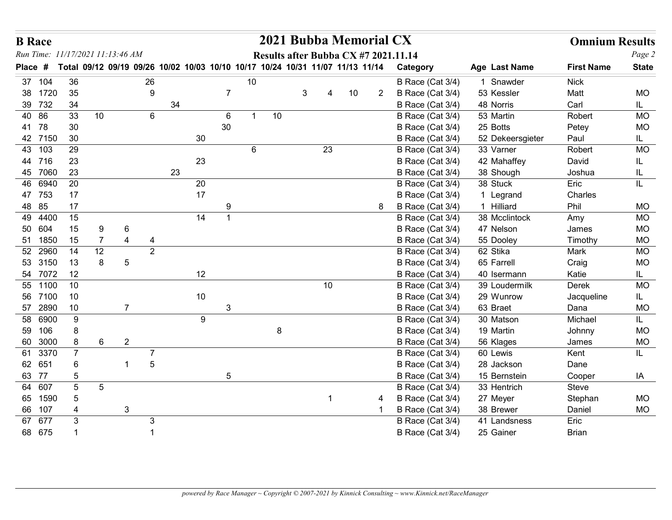| <b>B</b> Race                    |                |                |                                                                               |    |    |                 |    |         |   |        | 2021 Bubba Memorial CX               |   |                                      |                            | <b>Omnium Results</b> |                  |
|----------------------------------|----------------|----------------|-------------------------------------------------------------------------------|----|----|-----------------|----|---------|---|--------|--------------------------------------|---|--------------------------------------|----------------------------|-----------------------|------------------|
| Run Time: 11/17/2021 11:13:46 AM |                |                |                                                                               |    |    |                 |    |         |   |        | Results after Bubba CX #7 2021.11.14 |   |                                      |                            |                       | Page 2           |
| Place #                          |                |                | Total 09/12 09/19 09/26 10/02 10/03 10/10 10/17 10/24 10/31 11/07 11/13 11/14 |    |    |                 |    |         |   |        |                                      |   | Category                             | Age Last Name              | <b>First Name</b>     | <b>State</b>     |
| 37 104                           | 36             |                | 26                                                                            |    |    | $\overline{7}$  | 10 |         |   |        |                                      |   | B Race (Cat 3/4)                     | 1 Snawder                  | <b>Nick</b>           |                  |
| 38 1720<br>39 732                | 35<br>34       |                | 9                                                                             | 34 |    |                 |    |         | 3 |        | 10                                   | 2 | B Race (Cat 3/4)                     | 53 Kessler<br>48 Norris    | Matt<br>Carl          | <b>MO</b>        |
| 40 86                            | 33             | 10             | 6                                                                             |    |    | 6               | -1 | 10      |   |        |                                      |   | B Race (Cat 3/4)<br>B Race (Cat 3/4) | 53 Martin                  | Robert                | IL.<br><b>MO</b> |
| 41 78                            | 30             |                |                                                                               |    |    | 30              |    |         |   |        |                                      |   | B Race (Cat 3/4)                     | 25 Botts                   | Petey                 | <b>MO</b>        |
| 42 7150                          | 30             |                |                                                                               |    | 30 |                 |    |         |   |        |                                      |   | B Race (Cat 3/4)                     | 52 Dekeersgieter           | Paul                  | IL               |
| 43 103                           | 29             |                |                                                                               |    |    |                 | 6  |         |   | 23     |                                      |   | B Race (Cat 3/4)                     | 33 Varner                  | Robert                | <b>MO</b>        |
| 44 716                           | 23             |                |                                                                               |    | 23 |                 |    |         |   |        |                                      |   | B Race (Cat 3/4)                     | 42 Mahaffey                | David                 | IL.              |
| 45 7060                          | 23             |                |                                                                               | 23 |    |                 |    |         |   |        |                                      |   | B Race (Cat 3/4)                     | 38 Shough                  | Joshua                | IL               |
| 46 6940                          | 20             |                |                                                                               |    | 20 |                 |    |         |   |        |                                      |   | B Race (Cat 3/4)                     | 38 Stuck                   | Eric                  | IL               |
| 47 753                           | 17             |                |                                                                               |    | 17 |                 |    |         |   |        |                                      |   | B Race (Cat 3/4)                     | 1 Legrand                  | Charles               |                  |
| 48 85                            | 17             |                |                                                                               |    |    | 9               |    |         |   |        |                                      | 8 | B Race (Cat 3/4)                     | 1 Hilliard                 | Phil                  | <b>MO</b>        |
| 49 4400<br>50 604                | 15<br>15       | 9              | 6                                                                             |    | 14 |                 |    |         |   |        |                                      |   | B Race (Cat 3/4)<br>B Race (Cat 3/4) | 38 Mcclintock<br>47 Nelson | Amy<br>James          | MO<br><b>MO</b>  |
| 51 1850                          | 15             | $\overline{7}$ | $\overline{4}$<br>4                                                           |    |    |                 |    |         |   |        |                                      |   | B Race (Cat 3/4)                     | 55 Dooley                  | Timothy               | <b>MO</b>        |
| 52 2960                          | 14             | 12             | $\overline{2}$                                                                |    |    |                 |    |         |   |        |                                      |   | B Race (Cat 3/4)                     | 62 Stika                   | Mark                  | <b>MO</b>        |
| 53 3150                          | 13             | 8              | $5\phantom{.0}$                                                               |    |    |                 |    |         |   |        |                                      |   | B Race (Cat 3/4)                     | 65 Farrell                 | Craig                 | <b>MO</b>        |
| 54 7072                          | 12             |                |                                                                               |    | 12 |                 |    |         |   |        |                                      |   | B Race (Cat 3/4)                     | 40 Isermann                | Katie                 | IL               |
| 55 1100                          | $10\,$         |                |                                                                               |    |    |                 |    |         |   | $10\,$ |                                      |   | B Race (Cat 3/4)                     | 39 Loudermilk              | Derek                 | <b>MO</b>        |
| 56 7100                          | $10$           |                |                                                                               |    | 10 |                 |    |         |   |        |                                      |   | B Race (Cat 3/4)                     | 29 Wunrow                  | Jacqueline            | IL               |
| 57 2890<br>58 6900               | 10             |                | $\overline{7}$                                                                |    | 9  | $\mathbf{3}$    |    |         |   |        |                                      |   | B Race (Cat 3/4)<br>B Race (Cat 3/4) | 63 Braet<br>30 Matson      | Dana<br>Michael       | <b>MO</b>        |
| 59 106                           | 9<br>8         |                |                                                                               |    |    |                 |    | $\bf 8$ |   |        |                                      |   | B Race (Cat 3/4)                     | 19 Martin                  | Johnny                | IL.<br><b>MO</b> |
| 60 3000                          | 8              | 6              | $\overline{2}$                                                                |    |    |                 |    |         |   |        |                                      |   | B Race (Cat 3/4)                     | 56 Klages                  | James                 | <b>MO</b>        |
| 61 3370                          | $\overline{7}$ |                | $\overline{7}$                                                                |    |    |                 |    |         |   |        |                                      |   | B Race (Cat 3/4)                     | 60 Lewis                   | Kent                  | IL.              |
| 62 651                           | 6              |                | $\sqrt{5}$                                                                    |    |    |                 |    |         |   |        |                                      |   | B Race (Cat 3/4)                     | 28 Jackson                 | Dane                  |                  |
| 63 77                            | $\overline{5}$ |                |                                                                               |    |    | $5\phantom{.0}$ |    |         |   |        |                                      |   | B Race (Cat 3/4)                     | 15 Bernstein               | Cooper                | IA               |
| 64 607                           | $\overline{5}$ | $\sqrt{5}$     |                                                                               |    |    |                 |    |         |   |        |                                      |   | B Race (Cat 3/4)                     | 33 Hentrich                | Steve                 |                  |
| 65 1590                          | $\overline{5}$ |                |                                                                               |    |    |                 |    |         |   |        |                                      | 4 | B Race (Cat 3/4)                     | 27 Meyer                   | Stephan               | MO               |
| 66 107                           |                |                | $\mathbf{3}$                                                                  |    |    |                 |    |         |   |        |                                      |   | B Race (Cat 3/4)                     | 38 Brewer                  | Daniel                | MO               |
| 67 677                           | $\mathbf{3}$   |                | $\mathbf{3}$<br>$\mathbf 1$                                                   |    |    |                 |    |         |   |        |                                      |   | B Race (Cat 3/4)                     | 41 Landsness               | Eric                  |                  |
| 68 675                           |                |                |                                                                               |    |    |                 |    |         |   |        |                                      |   | B Race (Cat 3/4)                     | 25 Gainer                  | Brian                 |                  |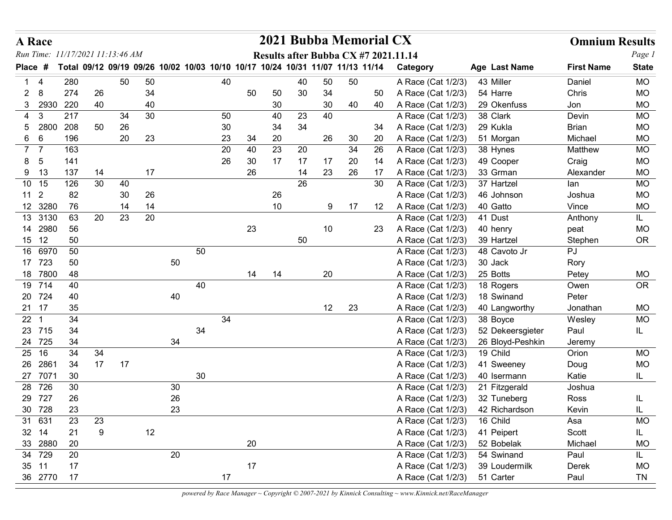| <b>A</b> Race                    |      |            |          |          |          |        |        |          |    |          | 2021 Bubba Memorial CX                                                        |                   |     |    |                                          |                        | <b>Omnium Results</b> |                   |
|----------------------------------|------|------------|----------|----------|----------|--------|--------|----------|----|----------|-------------------------------------------------------------------------------|-------------------|-----|----|------------------------------------------|------------------------|-----------------------|-------------------|
| Run Time: 11/17/2021 11:13:46 AM |      |            |          |          |          |        |        |          |    |          |                                                                               |                   |     |    | Results after Bubba CX #7 2021.11.14     |                        |                       | Page 1            |
| <b>Place</b>                     | -#   |            |          |          |          |        |        |          |    |          | Total 09/12 09/19 09/26 10/02 10/03 10/10 10/17 10/24 10/31 11/07 11/13 11/14 |                   |     |    | Category                                 | Age Last Name          | <b>First Name</b>     | <b>State</b>      |
| $1 \quad 4$                      |      | 280        |          | 50       | 50       |        |        | 40       |    |          | 40                                                                            | 50                | 50  |    | A Race (Cat 1/2/3)                       | 43 Miller              | Daniel                | <b>MO</b>         |
| 8<br>$2^{\circ}$                 |      | 274        | 26       |          | 34       |        |        |          | 50 | 50       | 30                                                                            | 34                |     | 50 | A Race (Cat 1/2/3)                       | 54 Harre               | Chris                 | <b>MO</b>         |
| 3 2930<br>$4 \quad 3$            |      | 220<br>217 | 40       |          | 40<br>30 |        |        |          |    | 30       |                                                                               | 30                | 40  | 40 | A Race (Cat 1/2/3)                       | 29 Okenfuss            | Jon<br>Devin          | <b>MO</b>         |
| 5                                | 2800 | 208        | 50       | 34<br>26 |          |        |        | 50<br>30 |    | 40<br>34 | 23<br>34                                                                      | 40                |     | 34 | A Race (Cat 1/2/3)<br>A Race (Cat 1/2/3) | 38 Clark<br>29 Kukla   | <b>Brian</b>          | MO<br><b>MO</b>   |
| 6 6                              |      | 196        |          | 20       | 23       |        |        | 23       | 34 | 20       |                                                                               | 26                | 30  | 20 | A Race (Cat 1/2/3)                       | 51 Morgan              | Michael               | <b>MO</b>         |
| 7 <sub>7</sub>                   |      | 163        |          |          |          |        |        | 20       | 40 | 23       | 20                                                                            |                   | 34  | 26 | A Race (Cat 1/2/3)                       | 38 Hynes               | Matthew               | <b>MO</b>         |
| - 5<br>8                         |      | 141        |          |          |          |        |        | 26       | 30 | 17       | 17                                                                            | 17                | 20  | 14 | A Race (Cat 1/2/3)                       | 49 Cooper              | Craig                 | <b>MO</b>         |
| 9 13                             |      | 137        | 14       |          | 17       |        |        |          | 26 |          | 14                                                                            | 23                | 26  | 17 | A Race (Cat 1/2/3)                       | 33 Grman               | Alexander             | MO                |
| 10 15                            |      | 126        | 30       | 40       |          |        |        |          |    |          | 26                                                                            |                   |     | 30 | A Race (Cat 1/2/3)                       | 37 Hartzel             | lan                   | <b>MO</b>         |
| 11 <sub>2</sub>                  |      | 82         |          | 30       | 26       |        |        |          |    | 26       |                                                                               |                   |     |    | A Race (Cat 1/2/3)                       | 46 Johnson             | Joshua                | <b>MO</b>         |
| 12 3280                          |      | 76         |          | 14       | 14       |        |        |          |    | 10       |                                                                               | 9                 | -17 | 12 | A Race (Cat 1/2/3)                       | 40 Gatto               | Vince                 | <b>MO</b>         |
| 13 3130                          |      | 63         | 20       | 23       | 20       |        |        |          |    |          |                                                                               |                   |     |    | A Race (Cat 1/2/3)                       | 41 Dust                | Anthony               | IL.               |
| 14 2980<br>15 12                 |      | 56<br>50   |          |          |          |        |        |          | 23 |          |                                                                               | 10                |     | 23 | A Race (Cat 1/2/3)<br>A Race (Cat 1/2/3) | 40 henry<br>39 Hartzel | peat                  | <b>MO</b><br>OR   |
| 16 6970                          |      | 50         |          |          |          |        | 50     |          |    |          | 50                                                                            |                   |     |    | A Race (Cat 1/2/3)                       | 48 Cavoto Jr           | Stephen<br>PJ         |                   |
| 17 723                           |      | $50\,$     |          |          |          | 50     |        |          |    |          |                                                                               |                   |     |    | A Race (Cat 1/2/3)                       | 30 Jack                | Rory                  |                   |
| 18 7800                          |      | 48         |          |          |          |        |        |          | 14 | 14       |                                                                               | 20                |     |    | A Race (Cat 1/2/3)                       | 25 Botts               | Petey                 | <b>MO</b>         |
| 19 714                           |      | 40         |          |          |          |        | 40     |          |    |          |                                                                               |                   |     |    | A Race (Cat 1/2/3)                       | 18 Rogers              | Owen                  | <b>OR</b>         |
| 20 724                           |      | 40         |          |          |          | $40\,$ |        |          |    |          |                                                                               |                   |     |    | A Race (Cat 1/2/3)                       | 18 Swinand             | Peter                 |                   |
| 21 17                            |      | 35         |          |          |          |        |        |          |    |          |                                                                               | $12 \overline{ }$ | 23  |    | A Race (Cat 1/2/3)                       | 40 Langworthy          | Jonathan              | <b>MO</b>         |
| 22 <sub>1</sub>                  |      | 34         |          |          |          |        |        | 34       |    |          |                                                                               |                   |     |    | A Race (Cat 1/2/3)                       | 38 Boyce               | Wesley                | <b>MO</b>         |
| 23 715                           |      | 34         |          |          |          |        | 34     |          |    |          |                                                                               |                   |     |    | A Race (Cat 1/2/3)                       | 52 Dekeersgieter       | Paul                  | IL                |
| 24 725                           |      | 34         |          |          |          | 34     |        |          |    |          |                                                                               |                   |     |    | A Race (Cat 1/2/3)                       | 26 Bloyd-Peshkin       | Jeremy                |                   |
| 25 16<br>26 2861                 |      | 34<br>34   | 34<br>17 | 17       |          |        |        |          |    |          |                                                                               |                   |     |    | A Race (Cat 1/2/3)<br>A Race (Cat 1/2/3) | 19 Child<br>41 Sweeney | Orion                 | <b>MO</b><br>$MO$ |
| 27 7071                          |      | $30\,$     |          |          |          |        | $30\,$ |          |    |          |                                                                               |                   |     |    | A Race (Cat 1/2/3)                       | 40 Isermann            | Doug<br>Katie         | IL.               |
| 28 726                           |      | $30\,$     |          |          |          | $30\,$ |        |          |    |          |                                                                               |                   |     |    | A Race (Cat 1/2/3)                       | 21 Fitzgerald          | Joshua                |                   |
| 29 727                           |      | $26\,$     |          |          |          | $26\,$ |        |          |    |          |                                                                               |                   |     |    | A Race (Cat 1/2/3)                       | 32 Tuneberg            | Ross                  | IL                |
| 30 728                           |      | 23         |          |          |          | 23     |        |          |    |          |                                                                               |                   |     |    | A Race (Cat 1/2/3)                       | 42 Richardson          | Kevin                 | IL                |
| 31 631                           |      | 23         | 23       |          |          |        |        |          |    |          |                                                                               |                   |     |    | A Race (Cat 1/2/3)                       | 16 Child               | Asa                   | <b>MO</b>         |
| 32 14                            |      | 21         | 9        |          | 12       |        |        |          |    |          |                                                                               |                   |     |    | A Race (Cat 1/2/3)                       | 41 Peipert             | Scott                 | IL.               |
| 33 2880                          |      | 20         |          |          |          |        |        |          | 20 |          |                                                                               |                   |     |    | A Race (Cat 1/2/3)                       | 52 Bobelak             | Michael               | <b>MO</b>         |
| 34 729                           |      | 20         |          |          |          | 20     |        |          |    |          |                                                                               |                   |     |    | A Race (Cat 1/2/3)                       | 54 Swinand             | Paul                  | IL.               |
| 35 11                            |      | 17         |          |          |          |        |        |          | 17 |          |                                                                               |                   |     |    | A Race (Cat 1/2/3)                       | 39 Loudermilk          | Derek                 | <b>MO</b>         |
| 36 2770                          |      | 17         |          |          |          |        |        | 17       |    |          |                                                                               |                   |     |    | A Race (Cat 1/2/3)                       | 51 Carter              | Paul                  | <b>TN</b>         |